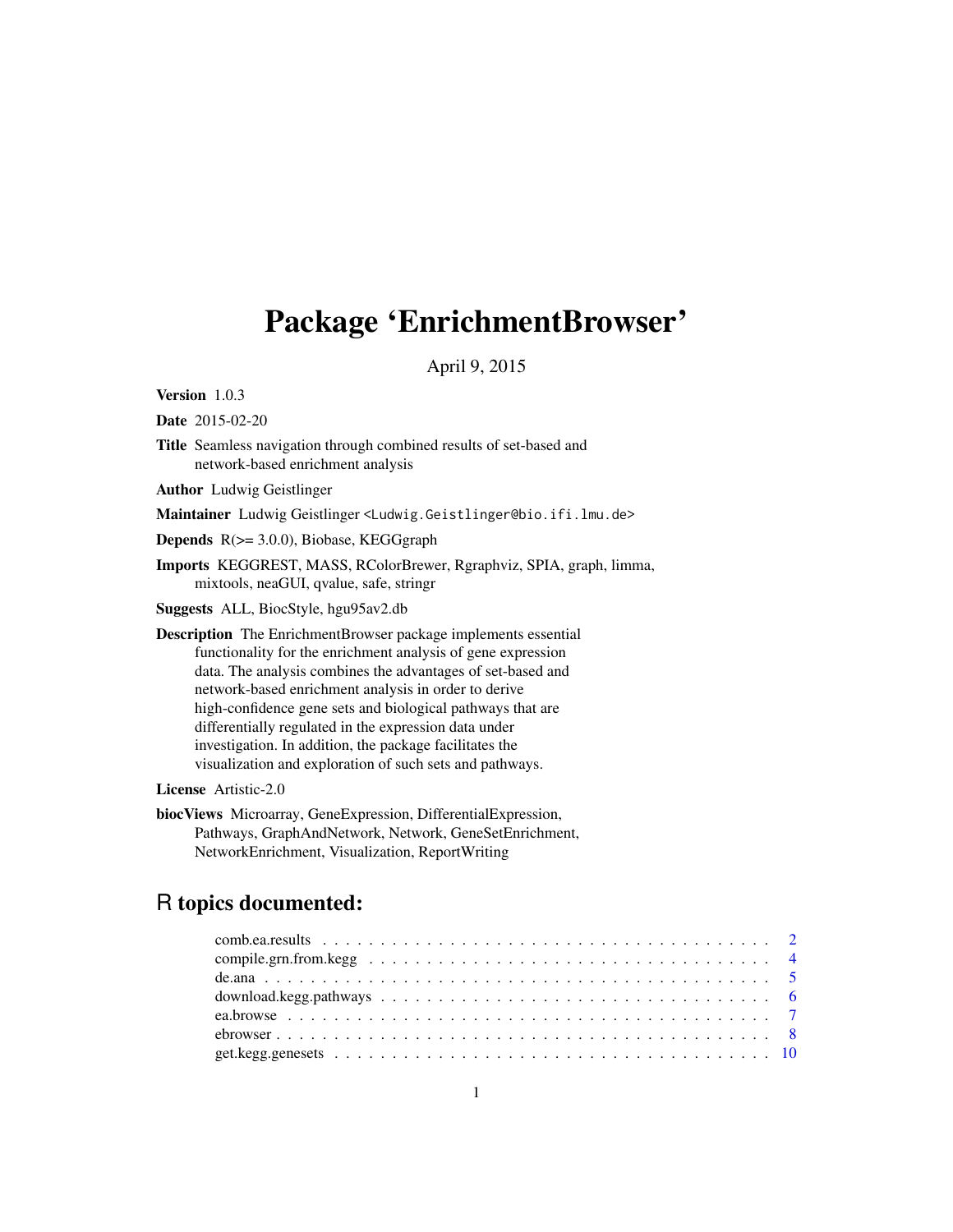# <span id="page-0-0"></span>Package 'EnrichmentBrowser'

April 9, 2015

Version 1.0.3

Date 2015-02-20

- Title Seamless navigation through combined results of set-based and network-based enrichment analysis
- Author Ludwig Geistlinger

Maintainer Ludwig Geistlinger <Ludwig.Geistlinger@bio.ifi.lmu.de>

Depends R(>= 3.0.0), Biobase, KEGGgraph

Imports KEGGREST, MASS, RColorBrewer, Rgraphviz, SPIA, graph, limma, mixtools, neaGUI, qvalue, safe, stringr

Suggests ALL, BiocStyle, hgu95av2.db

Description The EnrichmentBrowser package implements essential functionality for the enrichment analysis of gene expression data. The analysis combines the advantages of set-based and network-based enrichment analysis in order to derive high-confidence gene sets and biological pathways that are differentially regulated in the expression data under investigation. In addition, the package facilitates the visualization and exploration of such sets and pathways.

License Artistic-2.0

biocViews Microarray, GeneExpression, DifferentialExpression, Pathways, GraphAndNetwork, Network, GeneSetEnrichment, NetworkEnrichment, Visualization, ReportWriting

# R topics documented: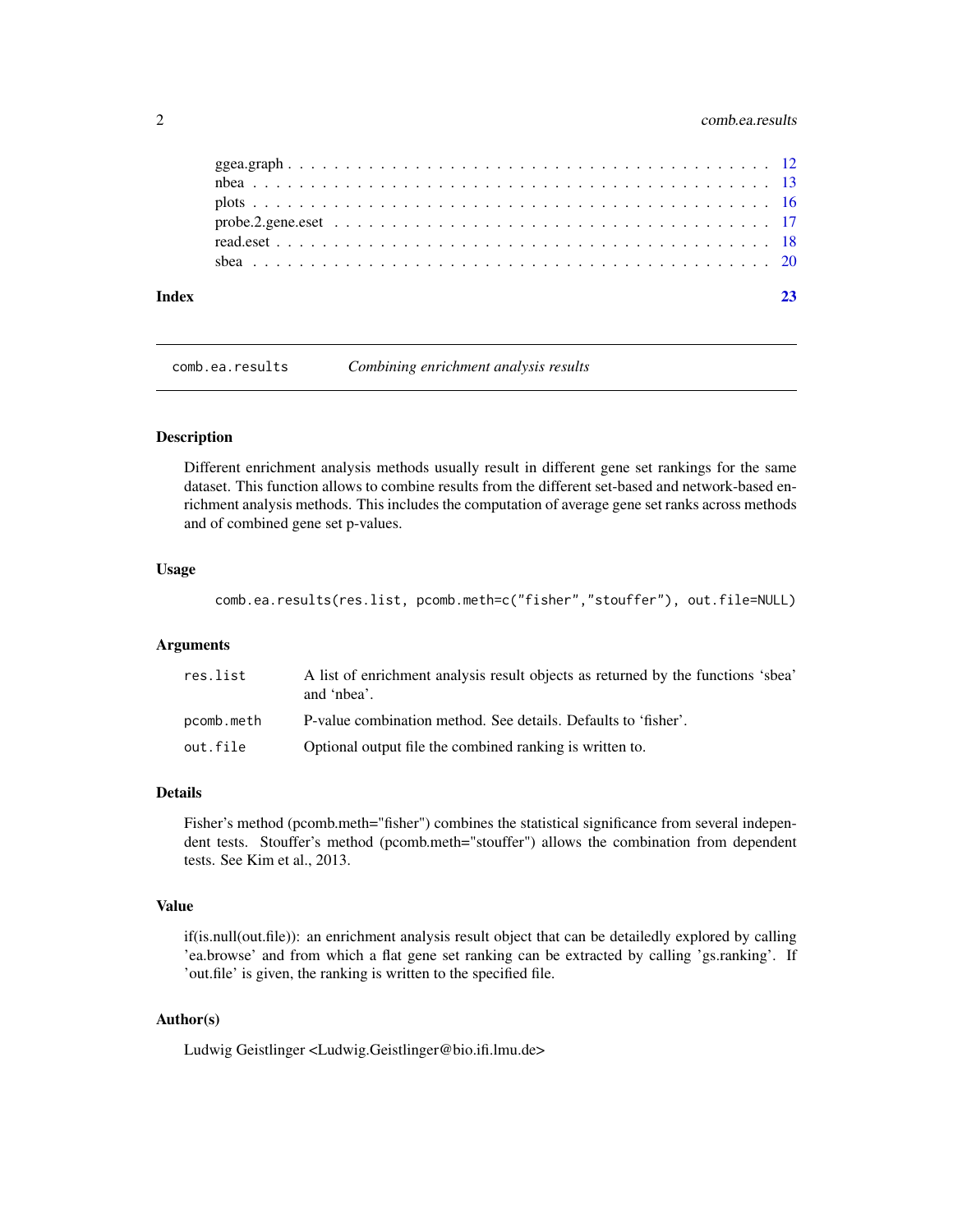# <span id="page-1-0"></span>2 comb.ea.results

<span id="page-1-1"></span>comb.ea.results *Combining enrichment analysis results*

# Description

Different enrichment analysis methods usually result in different gene set rankings for the same dataset. This function allows to combine results from the different set-based and network-based enrichment analysis methods. This includes the computation of average gene set ranks across methods and of combined gene set p-values.

#### Usage

```
comb.ea.results(res.list, pcomb.meth=c("fisher","stouffer"), out.file=NULL)
```
#### Arguments

| res.list   | A list of enrichment analysis result objects as returned by the functions 'sbea'<br>and 'nbea'. |
|------------|-------------------------------------------------------------------------------------------------|
| pcomb.meth | P-value combination method. See details. Defaults to 'fisher'.                                  |
| out.file   | Optional output file the combined ranking is written to.                                        |

#### Details

Fisher's method (pcomb.meth="fisher") combines the statistical significance from several independent tests. Stouffer's method (pcomb.meth="stouffer") allows the combination from dependent tests. See Kim et al., 2013.

# Value

if(is.null(out.file)): an enrichment analysis result object that can be detailedly explored by calling 'ea.browse' and from which a flat gene set ranking can be extracted by calling 'gs.ranking'. If 'out.file' is given, the ranking is written to the specified file.

# Author(s)

Ludwig Geistlinger <Ludwig.Geistlinger@bio.ifi.lmu.de>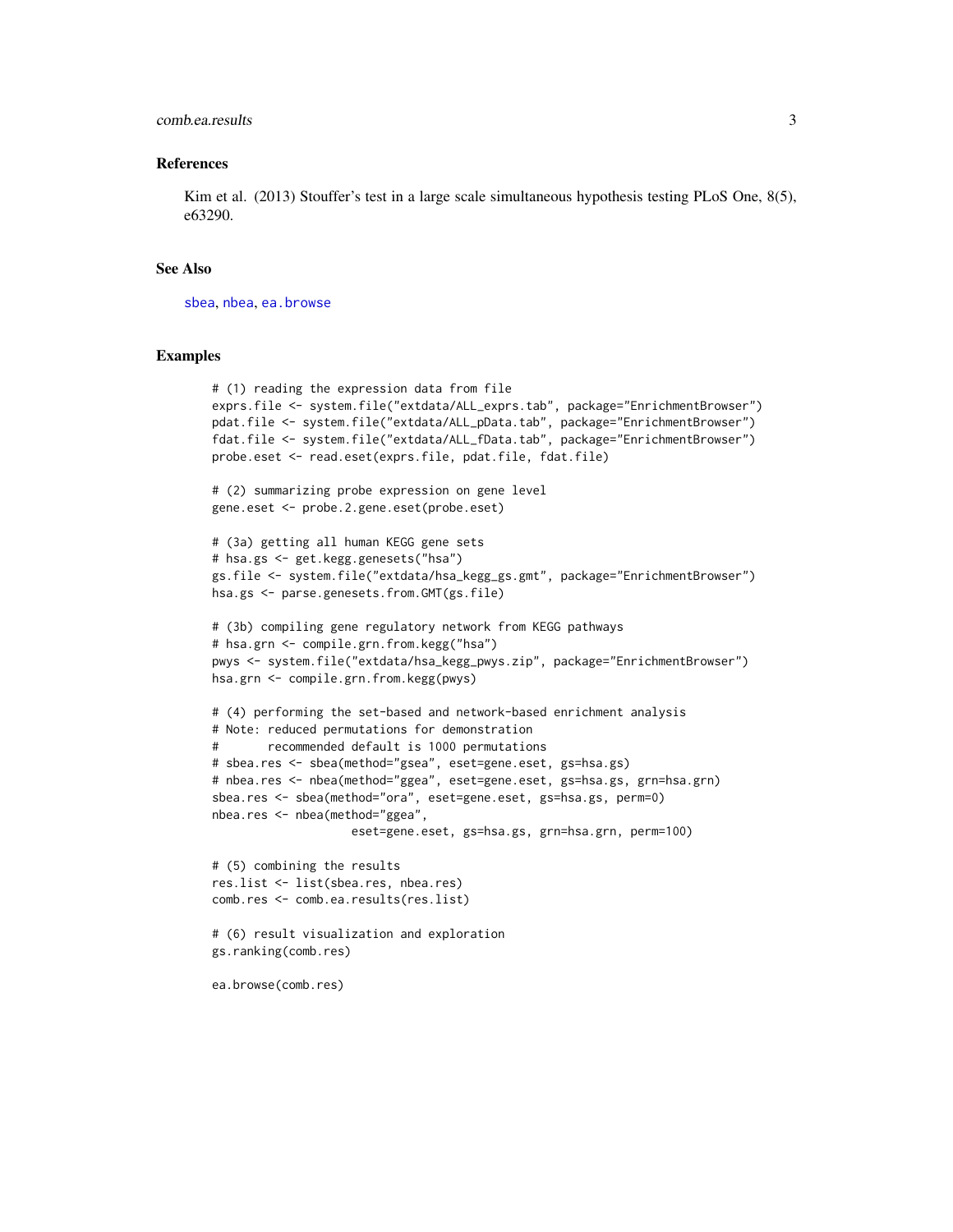# comb.ea.results 3

#### References

Kim et al. (2013) Stouffer's test in a large scale simultaneous hypothesis testing PLoS One, 8(5), e63290.

#### See Also

[sbea](#page-19-1), [nbea](#page-12-1), [ea.browse](#page-6-1)

ea.browse(comb.res)

```
# (1) reading the expression data from file
exprs.file <- system.file("extdata/ALL_exprs.tab", package="EnrichmentBrowser")
pdat.file <- system.file("extdata/ALL_pData.tab", package="EnrichmentBrowser")
fdat.file <- system.file("extdata/ALL_fData.tab", package="EnrichmentBrowser")
probe.eset <- read.eset(exprs.file, pdat.file, fdat.file)
# (2) summarizing probe expression on gene level
gene.eset <- probe.2.gene.eset(probe.eset)
# (3a) getting all human KEGG gene sets
# hsa.gs <- get.kegg.genesets("hsa")
gs.file <- system.file("extdata/hsa_kegg_gs.gmt", package="EnrichmentBrowser")
hsa.gs <- parse.genesets.from.GMT(gs.file)
# (3b) compiling gene regulatory network from KEGG pathways
# hsa.grn <- compile.grn.from.kegg("hsa")
pwys <- system.file("extdata/hsa_kegg_pwys.zip", package="EnrichmentBrowser")
hsa.grn <- compile.grn.from.kegg(pwys)
# (4) performing the set-based and network-based enrichment analysis
# Note: reduced permutations for demonstration
# recommended default is 1000 permutations
# sbea.res <- sbea(method="gsea", eset=gene.eset, gs=hsa.gs)
# nbea.res <- nbea(method="ggea", eset=gene.eset, gs=hsa.gs, grn=hsa.grn)
sbea.res <- sbea(method="ora", eset=gene.eset, gs=hsa.gs, perm=0)
nbea.res <- nbea(method="ggea",
                    eset=gene.eset, gs=hsa.gs, grn=hsa.grn, perm=100)
# (5) combining the results
res.list <- list(sbea.res, nbea.res)
comb.res <- comb.ea.results(res.list)
# (6) result visualization and exploration
gs.ranking(comb.res)
```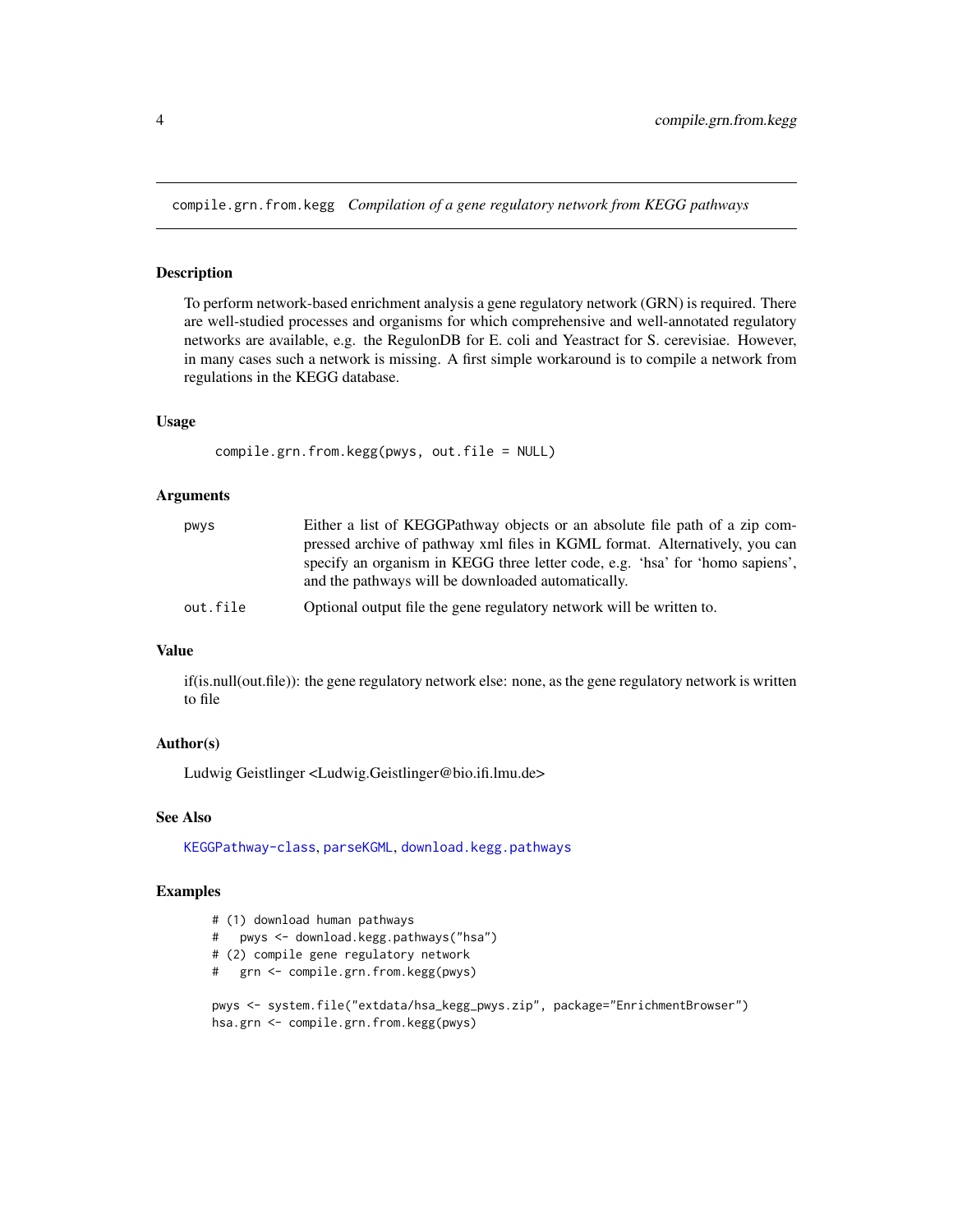<span id="page-3-1"></span><span id="page-3-0"></span>compile.grn.from.kegg *Compilation of a gene regulatory network from KEGG pathways*

# Description

To perform network-based enrichment analysis a gene regulatory network (GRN) is required. There are well-studied processes and organisms for which comprehensive and well-annotated regulatory networks are available, e.g. the RegulonDB for E. coli and Yeastract for S. cerevisiae. However, in many cases such a network is missing. A first simple workaround is to compile a network from regulations in the KEGG database.

#### Usage

```
compile.grn.from.kegg(pwys, out.file = NULL)
```
#### Arguments

| pwys     | Either a list of KEGGPathway objects or an absolute file path of a zip com-   |
|----------|-------------------------------------------------------------------------------|
|          | pressed archive of pathway xml files in KGML format. Alternatively, you can   |
|          | specify an organism in KEGG three letter code, e.g. 'hsa' for 'homo sapiens', |
|          | and the pathways will be downloaded automatically.                            |
| out.file | Optional output file the gene regulatory network will be written to.          |

# Value

if(is.null(out.file)): the gene regulatory network else: none, as the gene regulatory network is written to file

# Author(s)

Ludwig Geistlinger <Ludwig.Geistlinger@bio.ifi.lmu.de>

# See Also

[KEGGPathway-class](#page-0-0), [parseKGML](#page-0-0), [download.kegg.pathways](#page-5-1)

```
# (1) download human pathways
# pwys <- download.kegg.pathways("hsa")
# (2) compile gene regulatory network
# grn <- compile.grn.from.kegg(pwys)
pwys <- system.file("extdata/hsa_kegg_pwys.zip", package="EnrichmentBrowser")
hsa.grn <- compile.grn.from.kegg(pwys)
```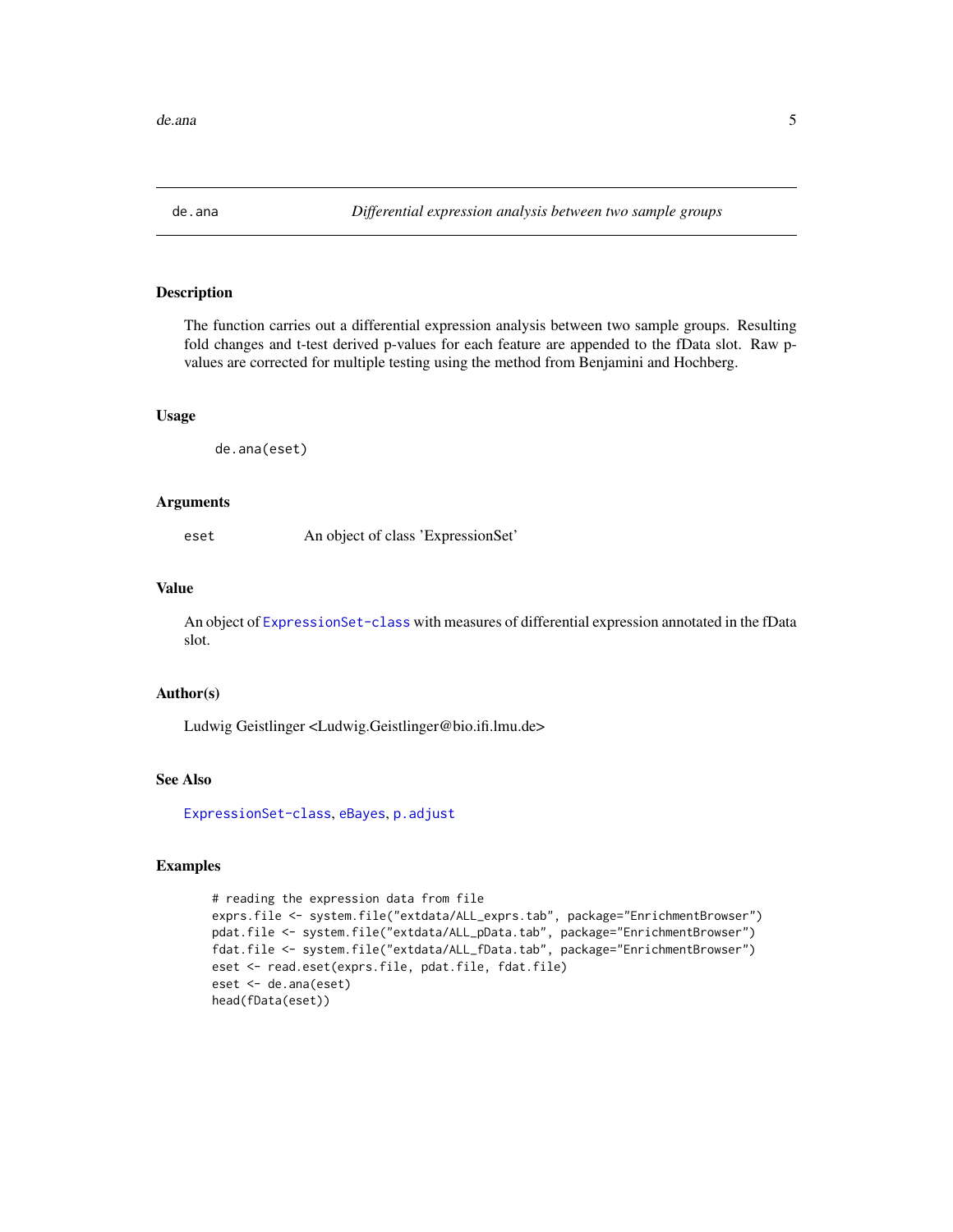<span id="page-4-0"></span>

#### Description

The function carries out a differential expression analysis between two sample groups. Resulting fold changes and t-test derived p-values for each feature are appended to the fData slot. Raw pvalues are corrected for multiple testing using the method from Benjamini and Hochberg.

#### Usage

de.ana(eset)

#### Arguments

eset An object of class 'ExpressionSet'

# Value

An object of [ExpressionSet-class](#page-0-0) with measures of differential expression annotated in the fData slot.

#### Author(s)

Ludwig Geistlinger <Ludwig.Geistlinger@bio.ifi.lmu.de>

#### See Also

[ExpressionSet-class](#page-0-0), [eBayes](#page-0-0), [p.adjust](#page-0-0)

```
# reading the expression data from file
exprs.file <- system.file("extdata/ALL_exprs.tab", package="EnrichmentBrowser")
pdat.file <- system.file("extdata/ALL_pData.tab", package="EnrichmentBrowser")
fdat.file <- system.file("extdata/ALL_fData.tab", package="EnrichmentBrowser")
eset <- read.eset(exprs.file, pdat.file, fdat.file)
eset <- de.ana(eset)
head(fData(eset))
```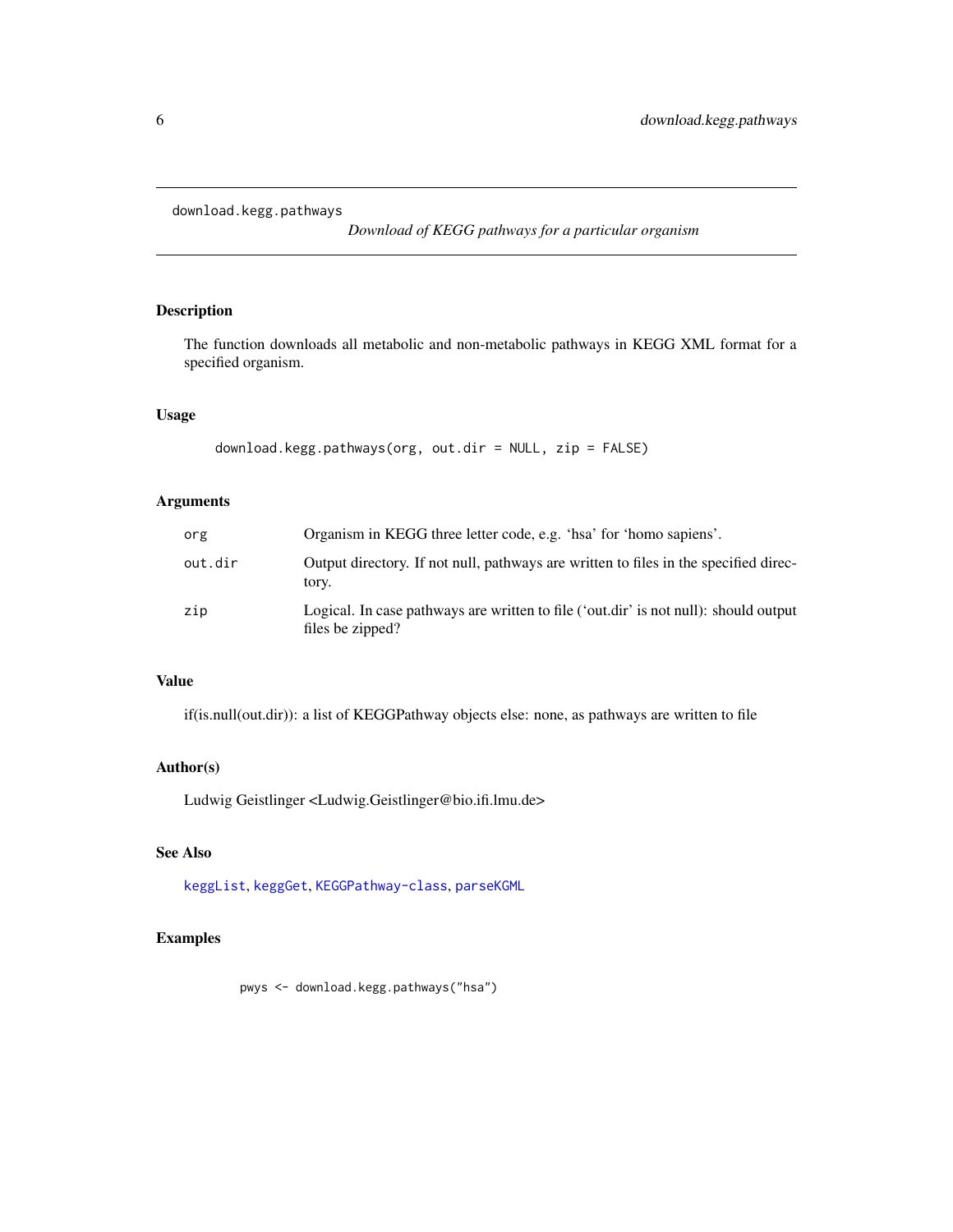<span id="page-5-1"></span><span id="page-5-0"></span>download.kegg.pathways

*Download of KEGG pathways for a particular organism*

# Description

The function downloads all metabolic and non-metabolic pathways in KEGG XML format for a specified organism.

#### Usage

```
download.kegg.pathways(org, out.dir = NULL, zip = FALSE)
```
# Arguments

| org     | Organism in KEGG three letter code, e.g. 'hsa' for 'homo sapiens'.                                       |
|---------|----------------------------------------------------------------------------------------------------------|
| out.dir | Output directory. If not null, pathways are written to files in the specified direc-<br>tory.            |
| zip     | Logical. In case pathways are written to file ('out.dir' is not null): should output<br>files be zipped? |

#### Value

if(is.null(out.dir)): a list of KEGGPathway objects else: none, as pathways are written to file

# Author(s)

Ludwig Geistlinger <Ludwig.Geistlinger@bio.ifi.lmu.de>

# See Also

[keggList](#page-0-0), [keggGet](#page-0-0), [KEGGPathway-class](#page-0-0), [parseKGML](#page-0-0)

# Examples

pwys <- download.kegg.pathways("hsa")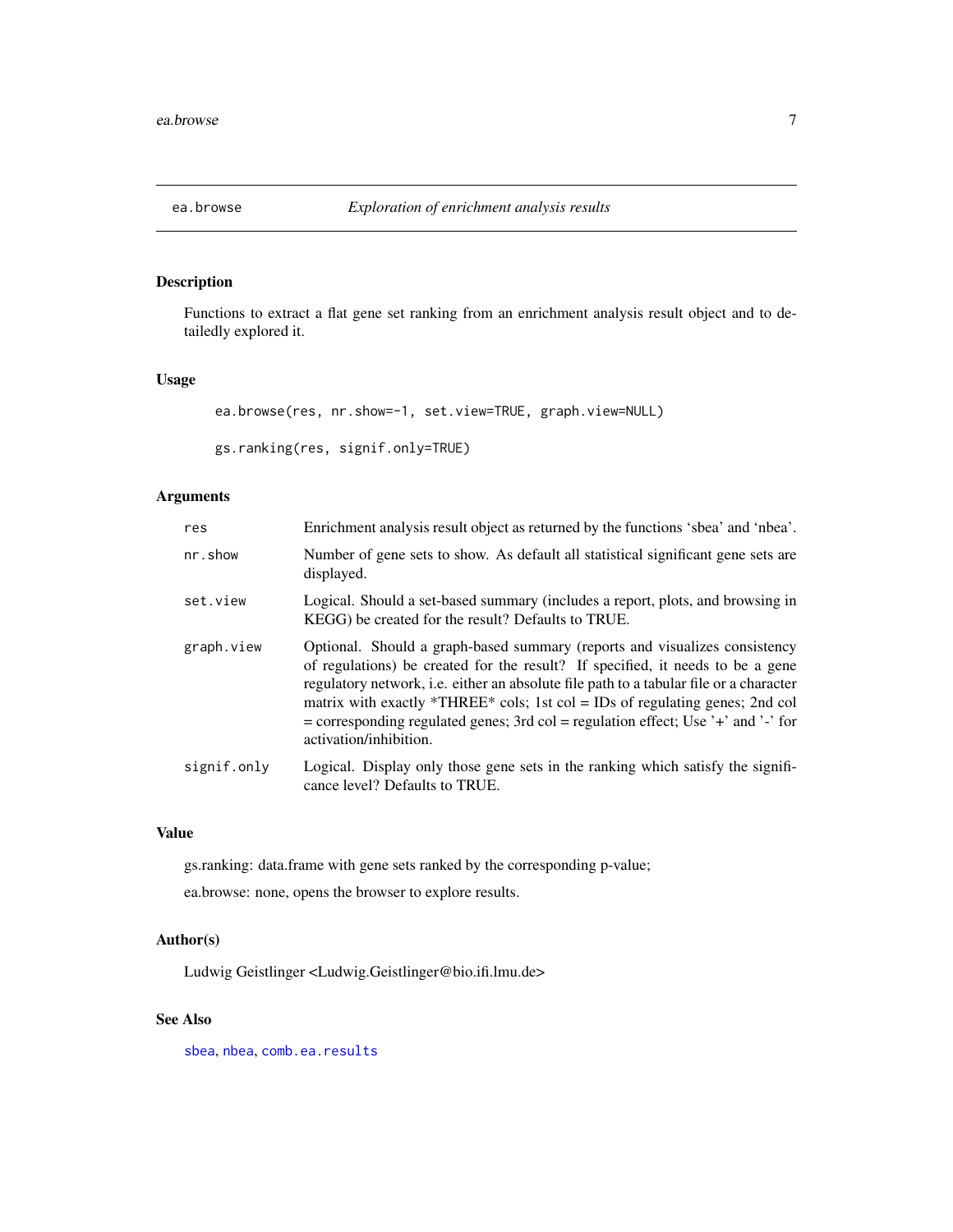<span id="page-6-1"></span><span id="page-6-0"></span>

# <span id="page-6-2"></span>Description

Functions to extract a flat gene set ranking from an enrichment analysis result object and to detailedly explored it.

#### Usage

```
ea.browse(res, nr.show=-1, set.view=TRUE, graph.view=NULL)
```

```
gs.ranking(res, signif.only=TRUE)
```
# Arguments

| res         | Enrichment analysis result object as returned by the functions 'sbea' and 'nbea'.                                                                                                                                                                                                                                                                                                                                                                     |
|-------------|-------------------------------------------------------------------------------------------------------------------------------------------------------------------------------------------------------------------------------------------------------------------------------------------------------------------------------------------------------------------------------------------------------------------------------------------------------|
| nr.show     | Number of gene sets to show. As default all statistical significant gene sets are<br>displayed.                                                                                                                                                                                                                                                                                                                                                       |
| set.view    | Logical. Should a set-based summary (includes a report, plots, and browsing in<br>KEGG) be created for the result? Defaults to TRUE.                                                                                                                                                                                                                                                                                                                  |
| graph.view  | Optional. Should a graph-based summary (reports and visualizes consistency<br>of regulations) be created for the result? If specified, it needs to be a gene<br>regulatory network, i.e. either an absolute file path to a tabular file or a character<br>matrix with exactly *THREE* cols; 1st col = IDs of regulating genes; 2nd col<br>= corresponding regulated genes; 3rd col = regulation effect; Use '+' and '-' for<br>activation/inhibition. |
| signif.only | Logical. Display only those gene sets in the ranking which satisfy the signifi-<br>cance level? Defaults to TRUE.                                                                                                                                                                                                                                                                                                                                     |

#### Value

gs.ranking: data.frame with gene sets ranked by the corresponding p-value;

ea.browse: none, opens the browser to explore results.

# Author(s)

Ludwig Geistlinger <Ludwig.Geistlinger@bio.ifi.lmu.de>

# See Also

[sbea](#page-19-1), [nbea](#page-12-1), [comb.ea.results](#page-1-1)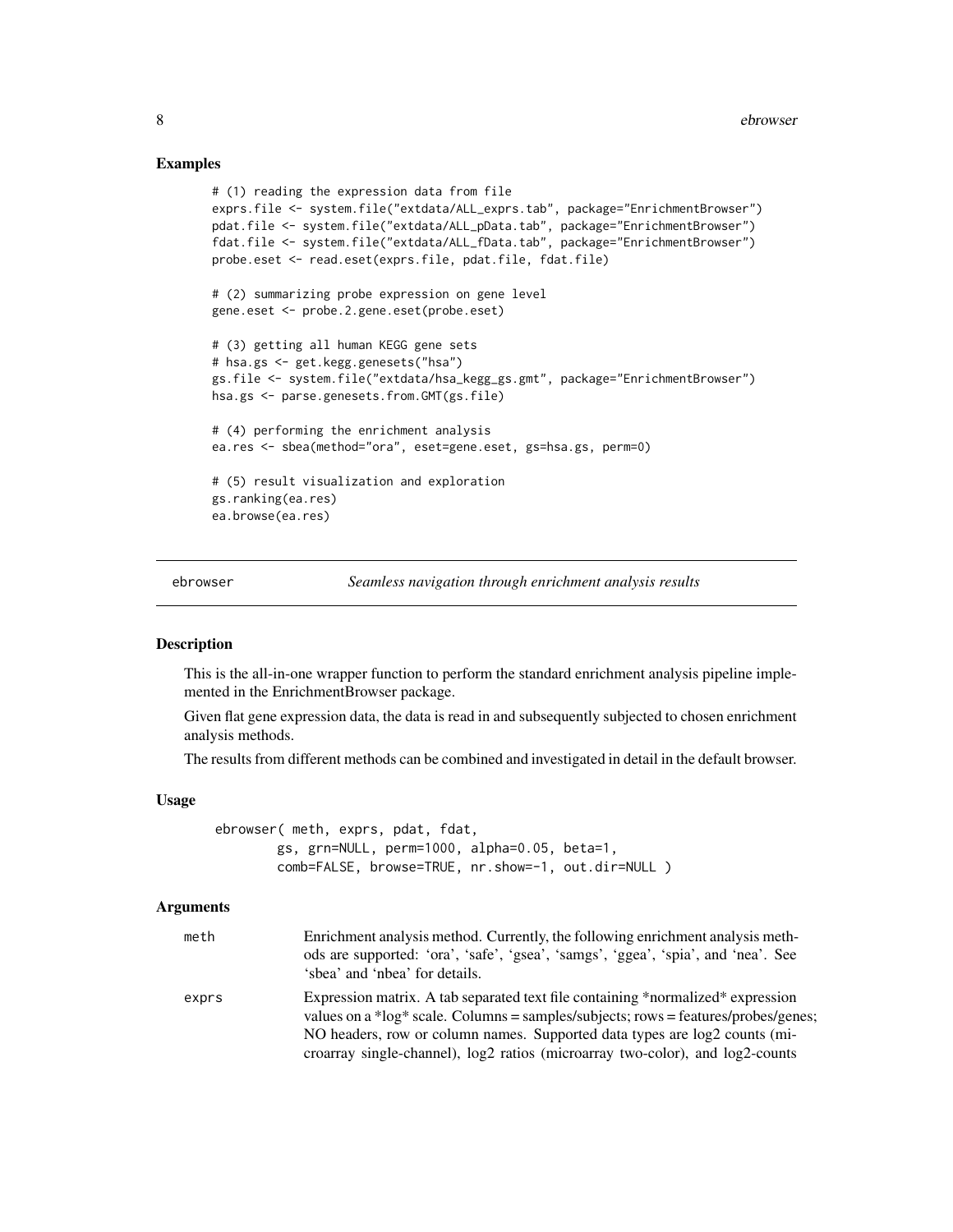#### Examples

```
# (1) reading the expression data from file
exprs.file <- system.file("extdata/ALL_exprs.tab", package="EnrichmentBrowser")
pdat.file <- system.file("extdata/ALL_pData.tab", package="EnrichmentBrowser")
fdat.file <- system.file("extdata/ALL_fData.tab", package="EnrichmentBrowser")
probe.eset <- read.eset(exprs.file, pdat.file, fdat.file)
# (2) summarizing probe expression on gene level
gene.eset <- probe.2.gene.eset(probe.eset)
# (3) getting all human KEGG gene sets
# hsa.gs <- get.kegg.genesets("hsa")
gs.file <- system.file("extdata/hsa_kegg_gs.gmt", package="EnrichmentBrowser")
hsa.gs <- parse.genesets.from.GMT(gs.file)
# (4) performing the enrichment analysis
ea.res <- sbea(method="ora", eset=gene.eset, gs=hsa.gs, perm=0)
# (5) result visualization and exploration
gs.ranking(ea.res)
ea.browse(ea.res)
```
ebrowser *Seamless navigation through enrichment analysis results*

#### Description

This is the all-in-one wrapper function to perform the standard enrichment analysis pipeline implemented in the EnrichmentBrowser package.

Given flat gene expression data, the data is read in and subsequently subjected to chosen enrichment analysis methods.

The results from different methods can be combined and investigated in detail in the default browser.

#### Usage

ebrowser( meth, exprs, pdat, fdat, gs, grn=NULL, perm=1000, alpha=0.05, beta=1, comb=FALSE, browse=TRUE, nr.show=-1, out.dir=NULL )

#### Arguments

| meth  | Enrichment analysis method. Currently, the following enrichment analysis meth-                                                                                        |
|-------|-----------------------------------------------------------------------------------------------------------------------------------------------------------------------|
|       | ods are supported: 'ora', 'safe', 'gsea', 'samgs', 'ggea', 'spia', and 'nea'. See                                                                                     |
|       | 'sbea' and 'nbea' for details.                                                                                                                                        |
| exprs | Expression matrix. A tab separated text file containing *normalized* expression<br>values on a *log* scale. Columns = samples/subjects; rows = features/probes/genes; |
|       | NO headers, row or column names. Supported data types are log2 counts (mi-                                                                                            |
|       | croarray single-channel), log2 ratios (microarray two-color), and log2-counts                                                                                         |

<span id="page-7-0"></span>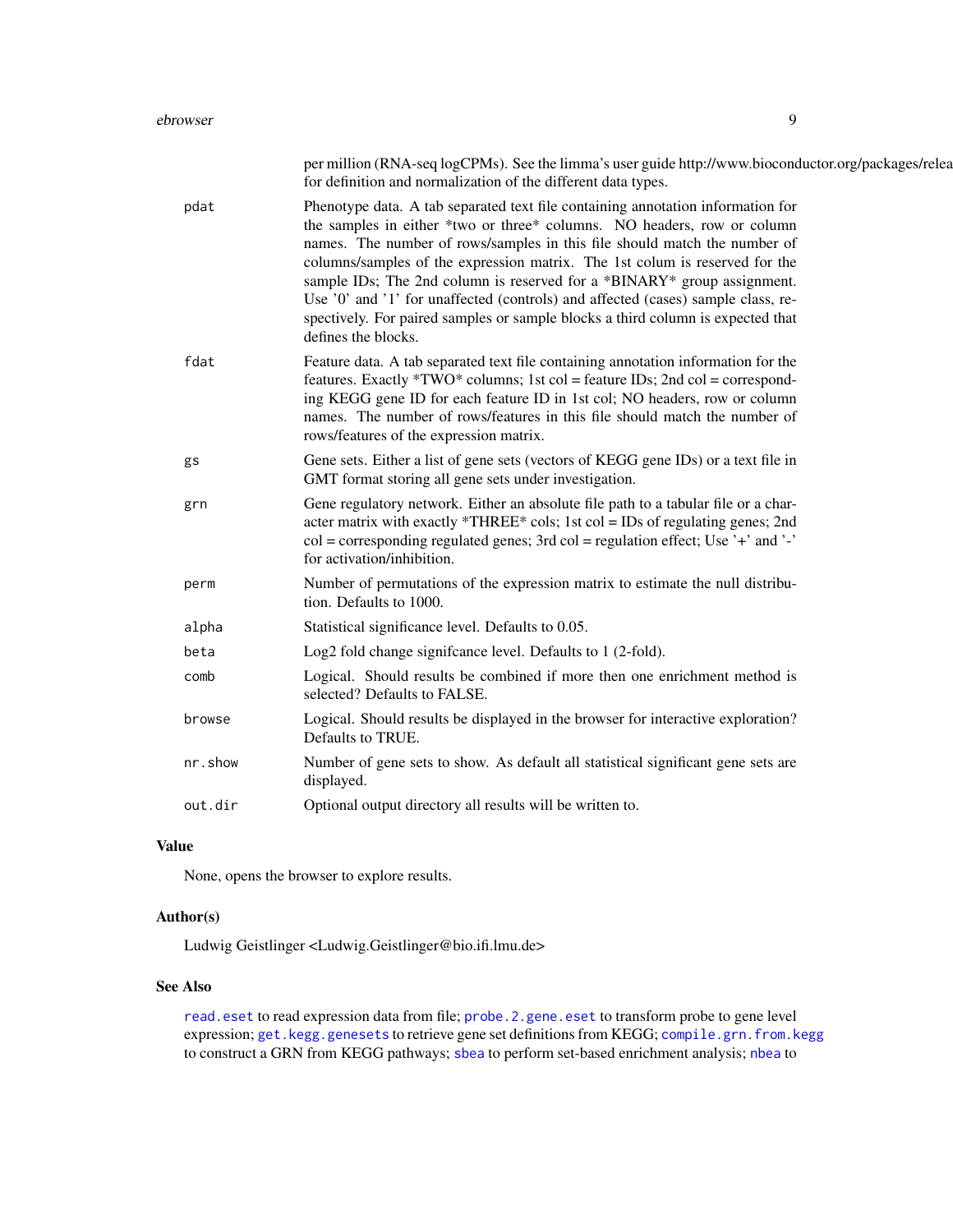|         | per million (RNA-seq logCPMs). See the limma's user guide http://www.bioconductor.org/packages/relea<br>for definition and normalization of the different data types.                                                                                                                                                                                                                                                                                                                                                                                                                           |
|---------|-------------------------------------------------------------------------------------------------------------------------------------------------------------------------------------------------------------------------------------------------------------------------------------------------------------------------------------------------------------------------------------------------------------------------------------------------------------------------------------------------------------------------------------------------------------------------------------------------|
| pdat    | Phenotype data. A tab separated text file containing annotation information for<br>the samples in either *two or three* columns. NO headers, row or column<br>names. The number of rows/samples in this file should match the number of<br>columns/samples of the expression matrix. The 1st colum is reserved for the<br>sample IDs; The 2nd column is reserved for a *BINARY* group assignment.<br>Use '0' and '1' for unaffected (controls) and affected (cases) sample class, re-<br>spectively. For paired samples or sample blocks a third column is expected that<br>defines the blocks. |
| fdat    | Feature data. A tab separated text file containing annotation information for the<br>features. Exactly *TWO* columns; 1st col = feature IDs; 2nd col = correspond-<br>ing KEGG gene ID for each feature ID in 1st col; NO headers, row or column<br>names. The number of rows/features in this file should match the number of<br>rows/features of the expression matrix.                                                                                                                                                                                                                       |
| gs      | Gene sets. Either a list of gene sets (vectors of KEGG gene IDs) or a text file in<br>GMT format storing all gene sets under investigation.                                                                                                                                                                                                                                                                                                                                                                                                                                                     |
| grn     | Gene regulatory network. Either an absolute file path to a tabular file or a char-<br>acter matrix with exactly *THREE* cols; 1st col = IDs of regulating genes; 2nd<br>$col = corresponding regulated genes$ ; 3rd $col = regulation effect$ ; Use '+' and '-'<br>for activation/inhibition.                                                                                                                                                                                                                                                                                                   |
| perm    | Number of permutations of the expression matrix to estimate the null distribu-<br>tion. Defaults to 1000.                                                                                                                                                                                                                                                                                                                                                                                                                                                                                       |
| alpha   | Statistical significance level. Defaults to 0.05.                                                                                                                                                                                                                                                                                                                                                                                                                                                                                                                                               |
| beta    | Log2 fold change significance level. Defaults to 1 (2-fold).                                                                                                                                                                                                                                                                                                                                                                                                                                                                                                                                    |
| comb    | Logical. Should results be combined if more then one enrichment method is<br>selected? Defaults to FALSE.                                                                                                                                                                                                                                                                                                                                                                                                                                                                                       |
| browse  | Logical. Should results be displayed in the browser for interactive exploration?<br>Defaults to TRUE.                                                                                                                                                                                                                                                                                                                                                                                                                                                                                           |
| nr.show | Number of gene sets to show. As default all statistical significant gene sets are<br>displayed.                                                                                                                                                                                                                                                                                                                                                                                                                                                                                                 |
| out.dir | Optional output directory all results will be written to.                                                                                                                                                                                                                                                                                                                                                                                                                                                                                                                                       |
|         |                                                                                                                                                                                                                                                                                                                                                                                                                                                                                                                                                                                                 |

# Value

None, opens the browser to explore results.

# Author(s)

Ludwig Geistlinger <Ludwig.Geistlinger@bio.ifi.lmu.de>

#### See Also

[read.eset](#page-17-1) to read expression data from file; [probe.2.gene.eset](#page-16-1) to transform probe to gene level expression; [get.kegg.genesets](#page-9-1) to retrieve gene set definitions from KEGG; [compile.grn.from.kegg](#page-3-1) to construct a GRN from KEGG pathways; [sbea](#page-19-1) to perform set-based enrichment analysis; [nbea](#page-12-1) to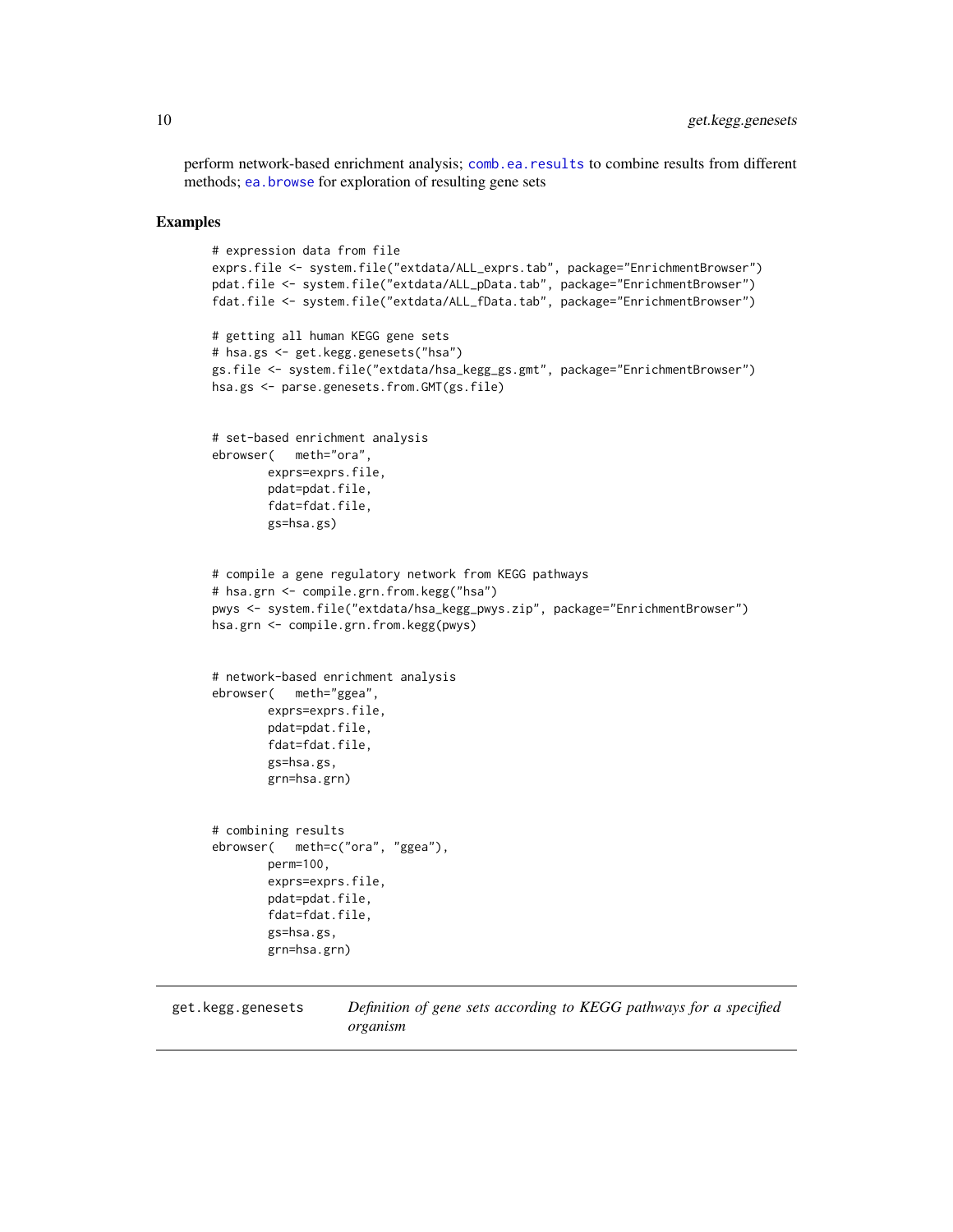<span id="page-9-0"></span>perform network-based enrichment analysis; [comb.ea.results](#page-1-1) to combine results from different methods; [ea.browse](#page-6-1) for exploration of resulting gene sets

#### Examples

```
# expression data from file
exprs.file <- system.file("extdata/ALL_exprs.tab", package="EnrichmentBrowser")
pdat.file <- system.file("extdata/ALL_pData.tab", package="EnrichmentBrowser")
fdat.file <- system.file("extdata/ALL_fData.tab", package="EnrichmentBrowser")
# getting all human KEGG gene sets
# hsa.gs <- get.kegg.genesets("hsa")
gs.file <- system.file("extdata/hsa_kegg_gs.gmt", package="EnrichmentBrowser")
hsa.gs <- parse.genesets.from.GMT(gs.file)
# set-based enrichment analysis
ebrowser( meth="ora",
        exprs=exprs.file,
        pdat=pdat.file,
        fdat=fdat.file,
        gs=hsa.gs)
# compile a gene regulatory network from KEGG pathways
# hsa.grn <- compile.grn.from.kegg("hsa")
pwys <- system.file("extdata/hsa_kegg_pwys.zip", package="EnrichmentBrowser")
hsa.grn <- compile.grn.from.kegg(pwys)
# network-based enrichment analysis
ebrowser( meth="ggea",
        exprs=exprs.file,
        pdat=pdat.file,
        fdat=fdat.file,
        gs=hsa.gs,
        grn=hsa.grn)
# combining results
ebrowser( meth=c("ora", "ggea"),
        perm=100,
        exprs=exprs.file,
        pdat=pdat.file,
        fdat=fdat.file,
        gs=hsa.gs,
        grn=hsa.grn)
```
<span id="page-9-1"></span>get.kegg.genesets *Definition of gene sets according to KEGG pathways for a specified organism*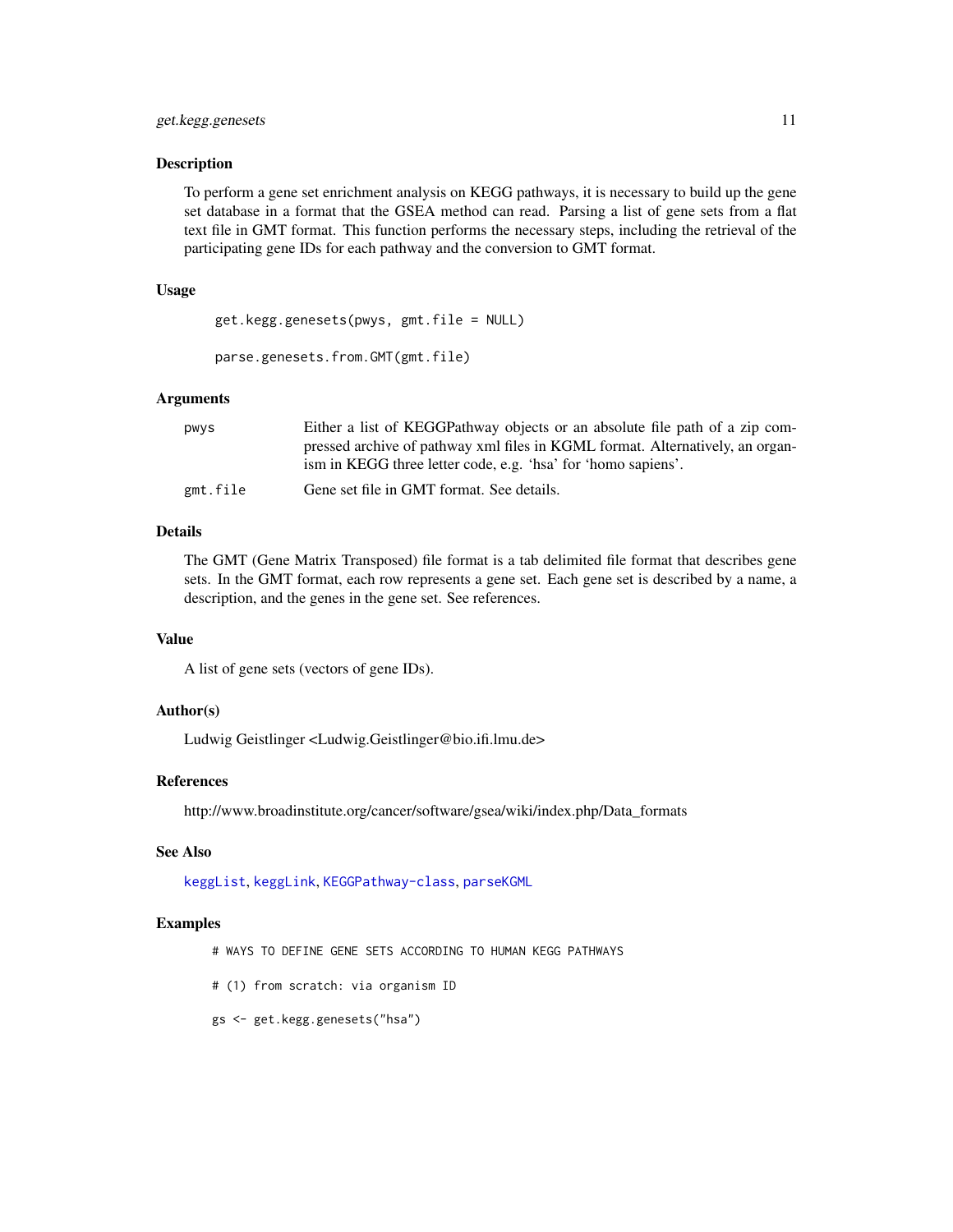#### get.kegg.genesets 11

#### **Description**

To perform a gene set enrichment analysis on KEGG pathways, it is necessary to build up the gene set database in a format that the GSEA method can read. Parsing a list of gene sets from a flat text file in GMT format. This function performs the necessary steps, including the retrieval of the participating gene IDs for each pathway and the conversion to GMT format.

#### Usage

```
get.kegg.genesets(pwys, gmt.file = NULL)
```

```
parse.genesets.from.GMT(gmt.file)
```
#### Arguments

| pwys     | Either a list of KEGGPathway objects or an absolute file path of a zip com-<br>pressed archive of pathway xml files in KGML format. Alternatively, an organ-<br>ism in KEGG three letter code, e.g. 'hsa' for 'homo sapiens'. |
|----------|-------------------------------------------------------------------------------------------------------------------------------------------------------------------------------------------------------------------------------|
| gmt.file | Gene set file in GMT format. See details.                                                                                                                                                                                     |

# Details

The GMT (Gene Matrix Transposed) file format is a tab delimited file format that describes gene sets. In the GMT format, each row represents a gene set. Each gene set is described by a name, a description, and the genes in the gene set. See references.

#### Value

A list of gene sets (vectors of gene IDs).

#### Author(s)

Ludwig Geistlinger <Ludwig.Geistlinger@bio.ifi.lmu.de>

#### References

http://www.broadinstitute.org/cancer/software/gsea/wiki/index.php/Data\_formats

#### See Also

[keggList](#page-0-0), [keggLink](#page-0-0), [KEGGPathway-class](#page-0-0), [parseKGML](#page-0-0)

- # WAYS TO DEFINE GENE SETS ACCORDING TO HUMAN KEGG PATHWAYS
- # (1) from scratch: via organism ID
- gs <- get.kegg.genesets("hsa")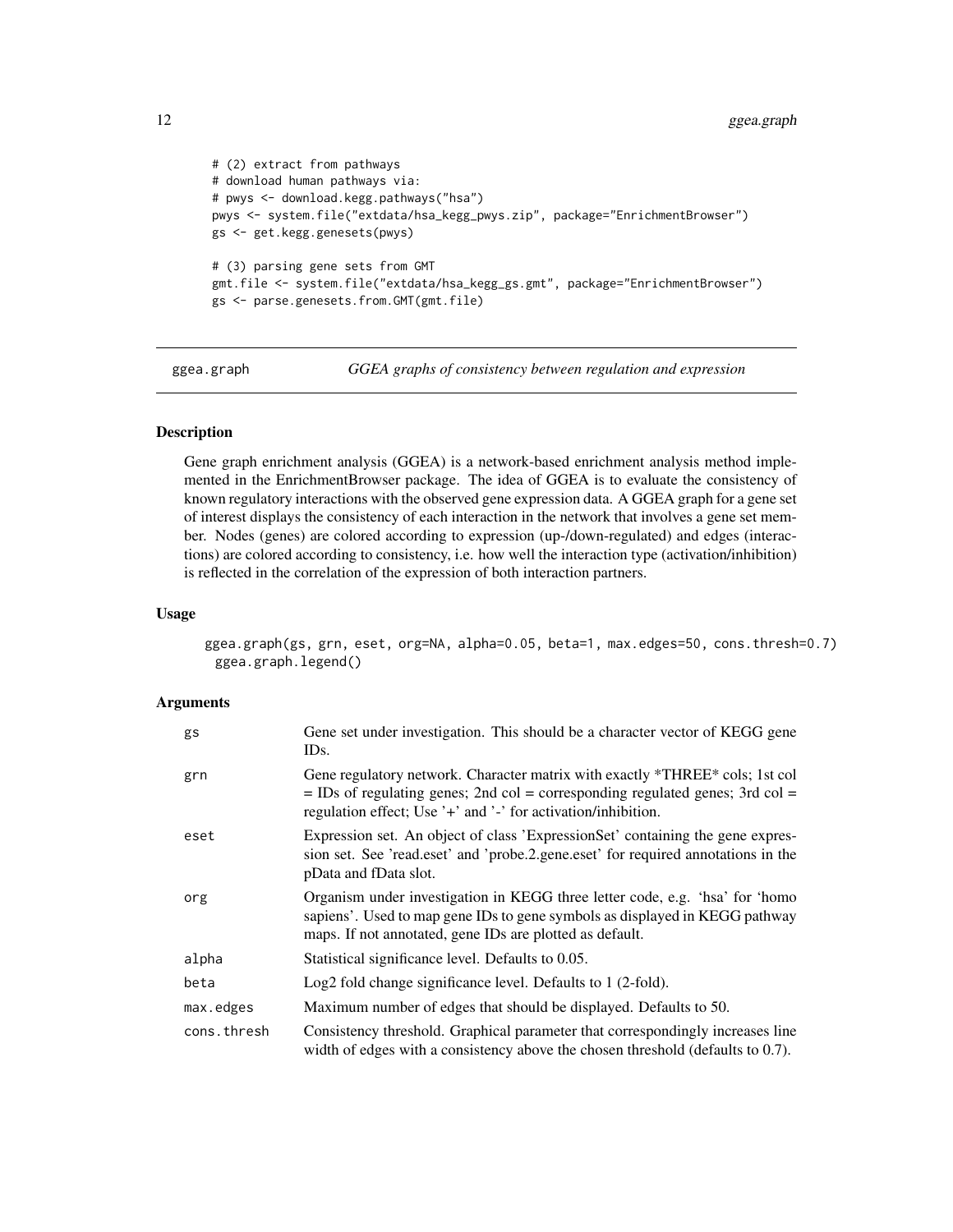```
# (2) extract from pathways
# download human pathways via:
# pwys <- download.kegg.pathways("hsa")
pwys <- system.file("extdata/hsa_kegg_pwys.zip", package="EnrichmentBrowser")
gs <- get.kegg.genesets(pwys)
# (3) parsing gene sets from GMT
gmt.file <- system.file("extdata/hsa_kegg_gs.gmt", package="EnrichmentBrowser")
gs <- parse.genesets.from.GMT(gmt.file)
```
ggea.graph *GGEA graphs of consistency between regulation and expression*

#### Description

Gene graph enrichment analysis (GGEA) is a network-based enrichment analysis method implemented in the EnrichmentBrowser package. The idea of GGEA is to evaluate the consistency of known regulatory interactions with the observed gene expression data. A GGEA graph for a gene set of interest displays the consistency of each interaction in the network that involves a gene set member. Nodes (genes) are colored according to expression (up-/down-regulated) and edges (interactions) are colored according to consistency, i.e. how well the interaction type (activation/inhibition) is reflected in the correlation of the expression of both interaction partners.

# Usage

ggea.graph(gs, grn, eset, org=NA, alpha=0.05, beta=1, max.edges=50, cons.thresh=0.7) ggea.graph.legend()

# **Arguments**

| gs          | Gene set under investigation. This should be a character vector of KEGG gene<br>IDs.                                                                                                                                             |
|-------------|----------------------------------------------------------------------------------------------------------------------------------------------------------------------------------------------------------------------------------|
| grn         | Gene regulatory network. Character matrix with exactly *THREE* cols; 1st col<br>$=$ IDs of regulating genes; 2nd col = corresponding regulated genes; 3rd col =<br>regulation effect; Use '+' and '-' for activation/inhibition. |
| eset        | Expression set. An object of class 'Expression Set' containing the gene expres-<br>sion set. See 'read.eset' and 'probe.2.gene.eset' for required annotations in the<br>pData and fData slot.                                    |
| org         | Organism under investigation in KEGG three letter code, e.g. 'hsa' for 'homo<br>sapiens'. Used to map gene IDs to gene symbols as displayed in KEGG pathway<br>maps. If not annotated, gene IDs are plotted as default.          |
| alpha       | Statistical significance level. Defaults to 0.05.                                                                                                                                                                                |
| beta        | Log2 fold change significance level. Defaults to 1 (2-fold).                                                                                                                                                                     |
| max.edges   | Maximum number of edges that should be displayed. Defaults to 50.                                                                                                                                                                |
| cons.thresh | Consistency threshold. Graphical parameter that correspondingly increases line<br>width of edges with a consistency above the chosen threshold (defaults to 0.7).                                                                |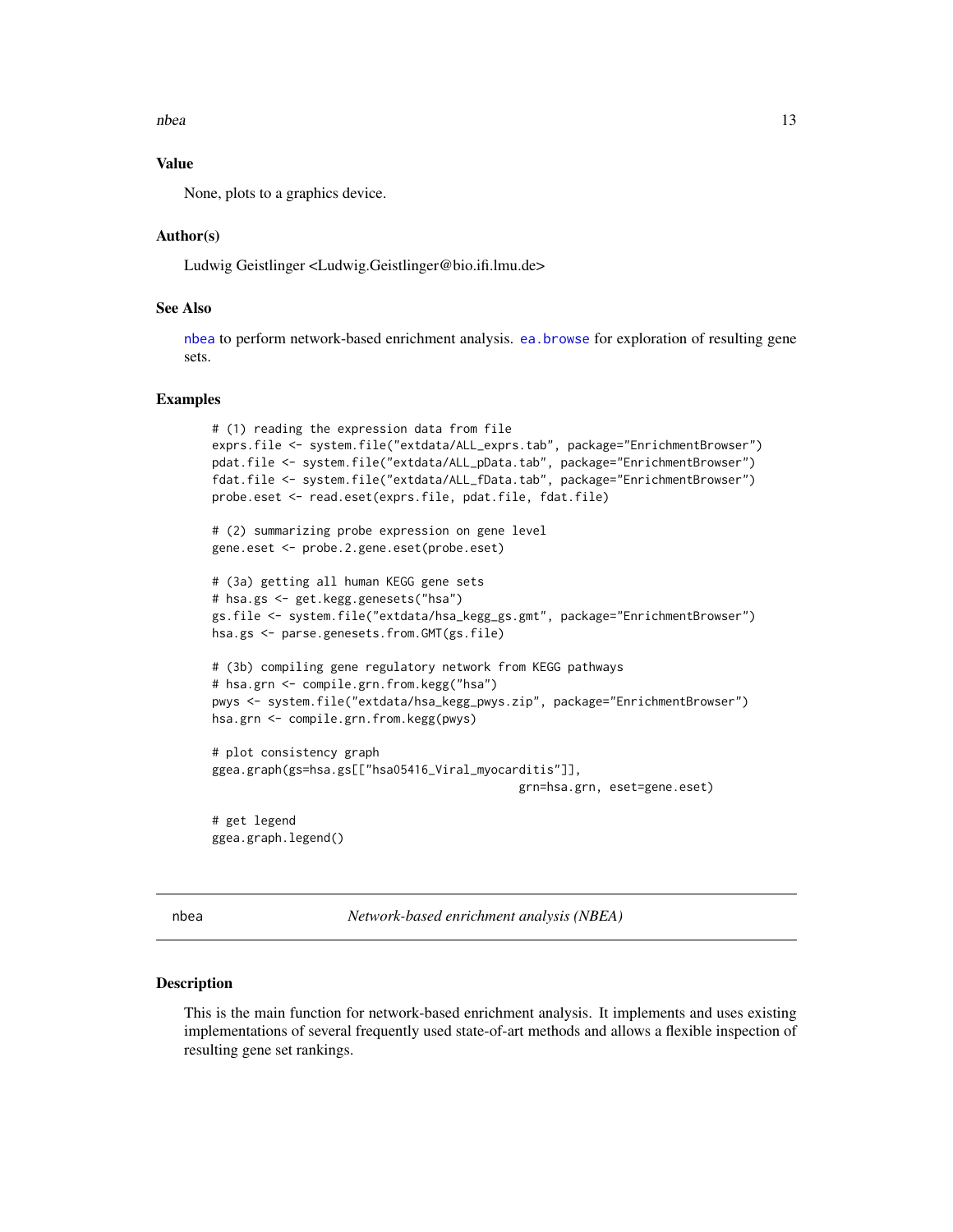<span id="page-12-0"></span>nbea ann an 13

#### Value

None, plots to a graphics device.

#### Author(s)

Ludwig Geistlinger <Ludwig.Geistlinger@bio.ifi.lmu.de>

# See Also

[nbea](#page-12-1) to perform network-based enrichment analysis. [ea.browse](#page-6-1) for exploration of resulting gene sets.

#### Examples

```
# (1) reading the expression data from file
exprs.file <- system.file("extdata/ALL_exprs.tab", package="EnrichmentBrowser")
pdat.file <- system.file("extdata/ALL_pData.tab", package="EnrichmentBrowser")
fdat.file <- system.file("extdata/ALL_fData.tab", package="EnrichmentBrowser")
probe.eset <- read.eset(exprs.file, pdat.file, fdat.file)
# (2) summarizing probe expression on gene level
gene.eset <- probe.2.gene.eset(probe.eset)
# (3a) getting all human KEGG gene sets
# hsa.gs <- get.kegg.genesets("hsa")
gs.file <- system.file("extdata/hsa_kegg_gs.gmt", package="EnrichmentBrowser")
hsa.gs <- parse.genesets.from.GMT(gs.file)
# (3b) compiling gene regulatory network from KEGG pathways
# hsa.grn <- compile.grn.from.kegg("hsa")
pwys <- system.file("extdata/hsa_kegg_pwys.zip", package="EnrichmentBrowser")
hsa.grn <- compile.grn.from.kegg(pwys)
# plot consistency graph
ggea.graph(gs=hsa.gs[["hsa05416_Viral_myocarditis"]],
                                            grn=hsa.grn, eset=gene.eset)
# get legend
ggea.graph.legend()
```
<span id="page-12-1"></span>nbea *Network-based enrichment analysis (NBEA)*

#### **Description**

This is the main function for network-based enrichment analysis. It implements and uses existing implementations of several frequently used state-of-art methods and allows a flexible inspection of resulting gene set rankings.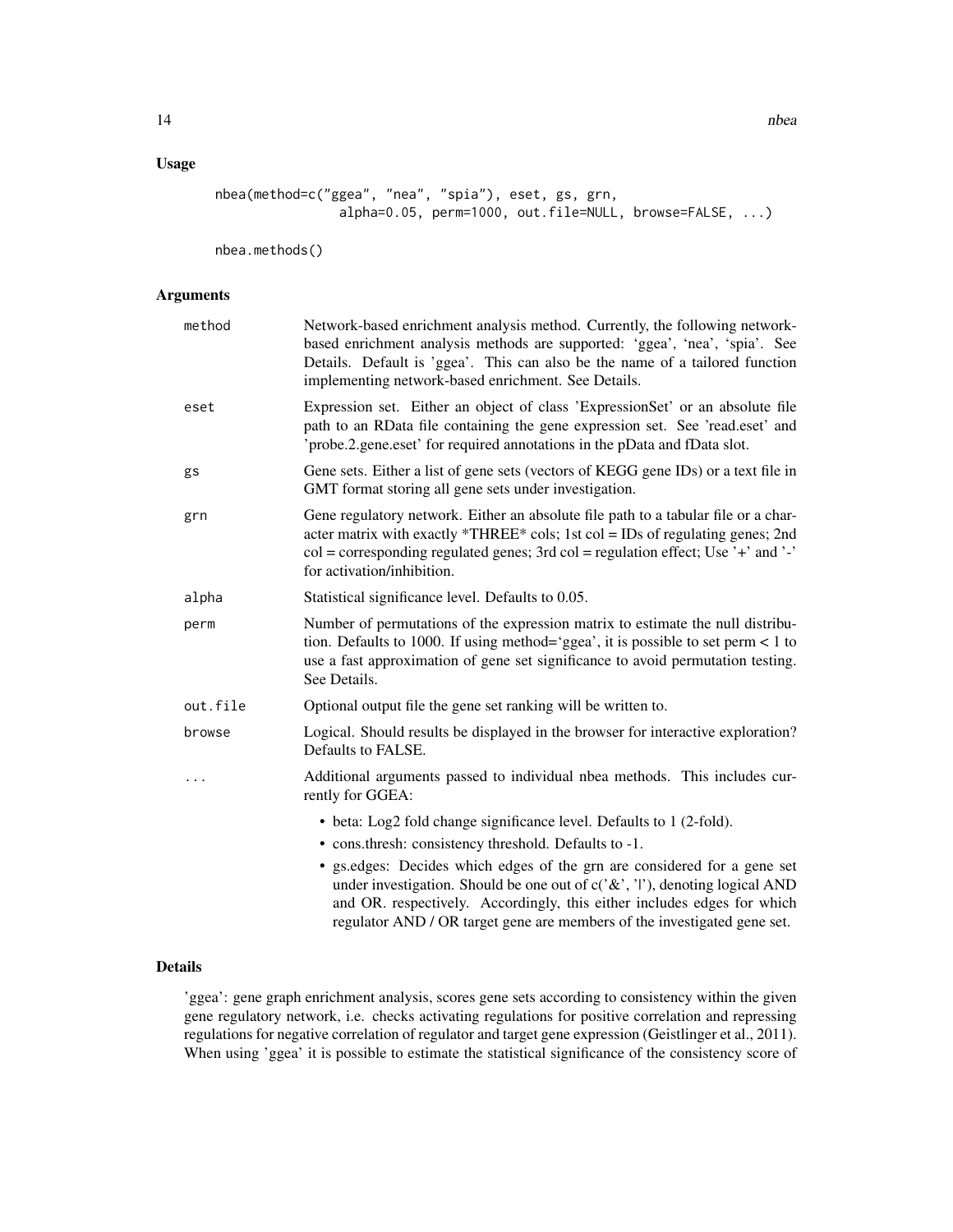14 nbea

# Usage

```
nbea(method=c("ggea", "nea", "spia"), eset, gs, grn,
               alpha=0.05, perm=1000, out.file=NULL, browse=FALSE, ...)
```
nbea.methods()

#### Arguments

| method   | Network-based enrichment analysis method. Currently, the following network-<br>based enrichment analysis methods are supported: 'ggea', 'nea', 'spia'. See<br>Details. Default is 'ggea'. This can also be the name of a tailored function<br>implementing network-based enrichment. See Details.                                                                                                                                                                     |
|----------|-----------------------------------------------------------------------------------------------------------------------------------------------------------------------------------------------------------------------------------------------------------------------------------------------------------------------------------------------------------------------------------------------------------------------------------------------------------------------|
| eset     | Expression set. Either an object of class 'ExpressionSet' or an absolute file<br>path to an RData file containing the gene expression set. See 'read.eset' and<br>'probe.2.gene.eset' for required annotations in the pData and fData slot.                                                                                                                                                                                                                           |
| gs       | Gene sets. Either a list of gene sets (vectors of KEGG gene IDs) or a text file in<br>GMT format storing all gene sets under investigation.                                                                                                                                                                                                                                                                                                                           |
| grn      | Gene regulatory network. Either an absolute file path to a tabular file or a char-<br>acter matrix with exactly *THREE* cols; 1st col = IDs of regulating genes; 2nd<br>$col = corresponding regulated genes$ ; 3rd $col = regulation effect$ ; Use '+' and '-'<br>for activation/inhibition.                                                                                                                                                                         |
| alpha    | Statistical significance level. Defaults to 0.05.                                                                                                                                                                                                                                                                                                                                                                                                                     |
| perm     | Number of permutations of the expression matrix to estimate the null distribu-<br>tion. Defaults to 1000. If using method='ggea', it is possible to set perm < 1 to<br>use a fast approximation of gene set significance to avoid permutation testing.<br>See Details.                                                                                                                                                                                                |
| out.file | Optional output file the gene set ranking will be written to.                                                                                                                                                                                                                                                                                                                                                                                                         |
| browse   | Logical. Should results be displayed in the browser for interactive exploration?<br>Defaults to FALSE.                                                                                                                                                                                                                                                                                                                                                                |
|          | Additional arguments passed to individual nbea methods. This includes cur-<br>rently for GGEA:                                                                                                                                                                                                                                                                                                                                                                        |
|          | • beta: Log2 fold change significance level. Defaults to 1 (2-fold).<br>• cons.thresh: consistency threshold. Defaults to -1.<br>• gs. edges: Decides which edges of the grn are considered for a gene set<br>under investigation. Should be one out of $c({^{\circ}\mathcal{X}}', '')$ , denoting logical AND<br>and OR. respectively. Accordingly, this either includes edges for which<br>regulator AND / OR target gene are members of the investigated gene set. |

# Details

'ggea': gene graph enrichment analysis, scores gene sets according to consistency within the given gene regulatory network, i.e. checks activating regulations for positive correlation and repressing regulations for negative correlation of regulator and target gene expression (Geistlinger et al., 2011). When using 'ggea' it is possible to estimate the statistical significance of the consistency score of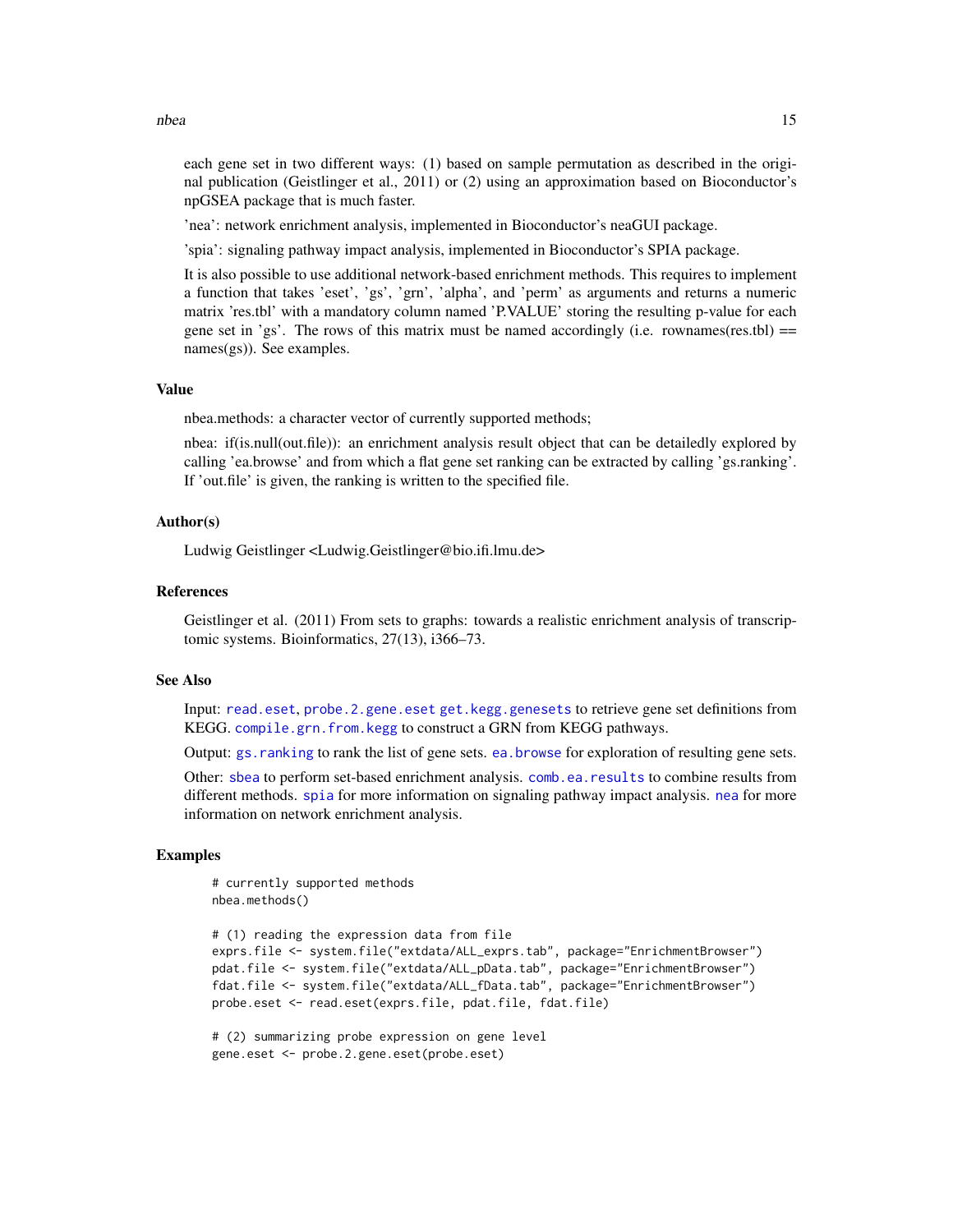nbea anns an 15 an t-Iomraid anns an t-Iomraid anns an t-Iomraid anns an 15 an t-Iomraid anns an 15 an t-Iomraid anns an 15 an t-Iomraid anns an 15 an t-Iomraid anns an t-Iomraid anns an 15 an t-Iomraid anns an t-Iomraid a

each gene set in two different ways: (1) based on sample permutation as described in the original publication (Geistlinger et al., 2011) or (2) using an approximation based on Bioconductor's npGSEA package that is much faster.

'nea': network enrichment analysis, implemented in Bioconductor's neaGUI package.

'spia': signaling pathway impact analysis, implemented in Bioconductor's SPIA package.

It is also possible to use additional network-based enrichment methods. This requires to implement a function that takes 'eset', 'gs', 'grn', 'alpha', and 'perm' as arguments and returns a numeric matrix 'res.tbl' with a mandatory column named 'P.VALUE' storing the resulting p-value for each gene set in 'gs'. The rows of this matrix must be named accordingly (i.e. rownames(res.tbl)  $=$ names(gs)). See examples.

#### Value

nbea.methods: a character vector of currently supported methods;

nbea: if(is.null(out.file)): an enrichment analysis result object that can be detailedly explored by calling 'ea.browse' and from which a flat gene set ranking can be extracted by calling 'gs.ranking'. If 'out.file' is given, the ranking is written to the specified file.

#### Author(s)

Ludwig Geistlinger <Ludwig.Geistlinger@bio.ifi.lmu.de>

#### References

Geistlinger et al. (2011) From sets to graphs: towards a realistic enrichment analysis of transcriptomic systems. Bioinformatics, 27(13), i366–73.

#### See Also

Input: [read.eset](#page-17-1), [probe.2.gene.eset](#page-16-1) [get.kegg.genesets](#page-9-1) to retrieve gene set definitions from KEGG. [compile.grn.from.kegg](#page-3-1) to construct a GRN from KEGG pathways.

Output: [gs.ranking](#page-6-2) to rank the list of gene sets. [ea.browse](#page-6-1) for exploration of resulting gene sets.

Other: [sbea](#page-19-1) to perform set-based enrichment analysis. [comb.ea.results](#page-1-1) to combine results from different methods. [spia](#page-0-0) for more information on signaling pathway impact analysis. [nea](#page-0-0) for more information on network enrichment analysis.

#### Examples

# currently supported methods nbea.methods()

```
# (1) reading the expression data from file
exprs.file <- system.file("extdata/ALL_exprs.tab", package="EnrichmentBrowser")
pdat.file <- system.file("extdata/ALL_pData.tab", package="EnrichmentBrowser")
fdat.file <- system.file("extdata/ALL_fData.tab", package="EnrichmentBrowser")
probe.eset <- read.eset(exprs.file, pdat.file, fdat.file)
```

```
# (2) summarizing probe expression on gene level
gene.eset <- probe.2.gene.eset(probe.eset)
```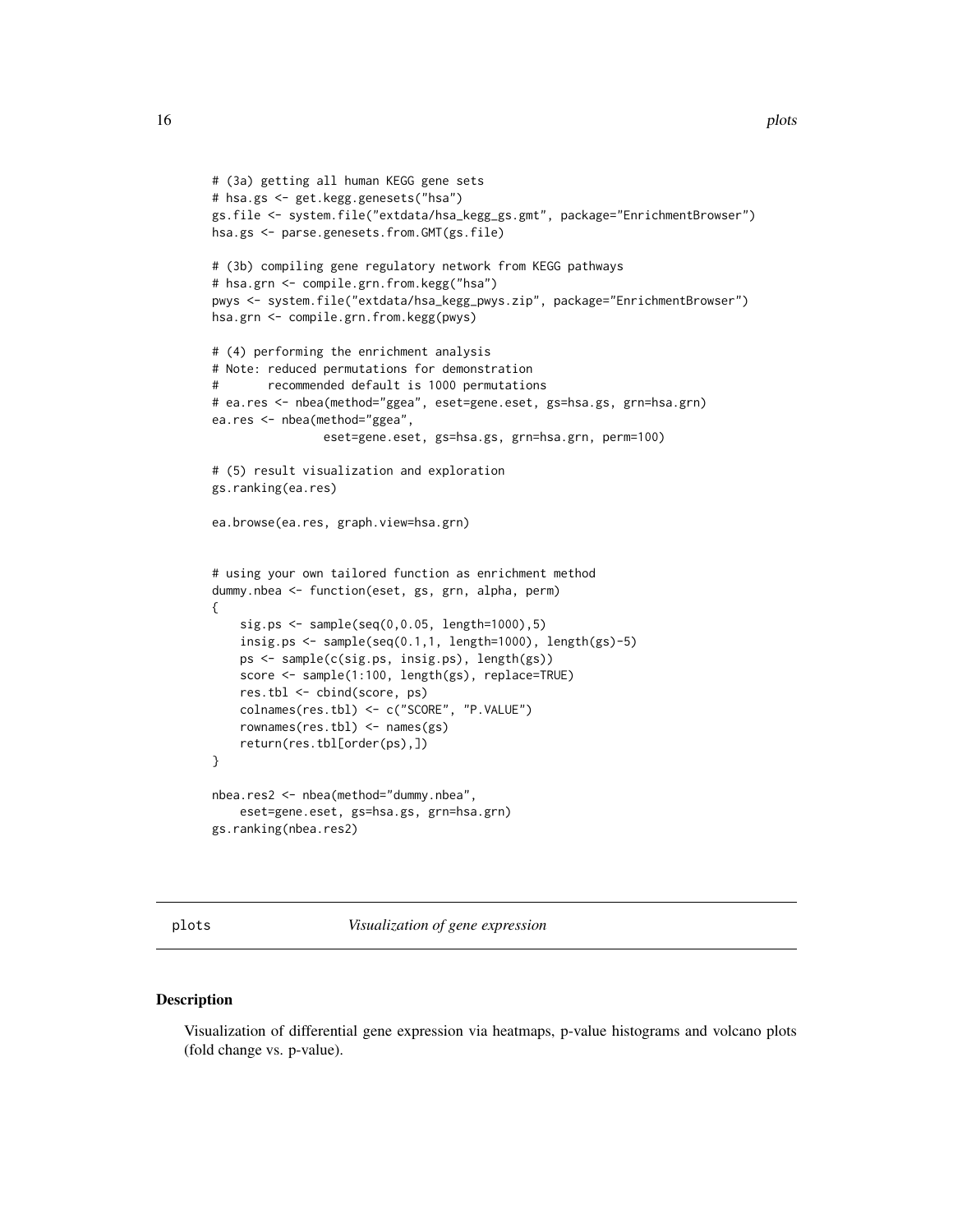```
# (3a) getting all human KEGG gene sets
# hsa.gs <- get.kegg.genesets("hsa")
gs.file <- system.file("extdata/hsa_kegg_gs.gmt", package="EnrichmentBrowser")
hsa.gs <- parse.genesets.from.GMT(gs.file)
# (3b) compiling gene regulatory network from KEGG pathways
# hsa.grn <- compile.grn.from.kegg("hsa")
pwys <- system.file("extdata/hsa_kegg_pwys.zip", package="EnrichmentBrowser")
hsa.grn <- compile.grn.from.kegg(pwys)
# (4) performing the enrichment analysis
# Note: reduced permutations for demonstration
# recommended default is 1000 permutations
# ea.res <- nbea(method="ggea", eset=gene.eset, gs=hsa.gs, grn=hsa.grn)
ea.res <- nbea(method="ggea",
                eset=gene.eset, gs=hsa.gs, grn=hsa.grn, perm=100)
# (5) result visualization and exploration
gs.ranking(ea.res)
ea.browse(ea.res, graph.view=hsa.grn)
# using your own tailored function as enrichment method
dummy.nbea <- function(eset, gs, grn, alpha, perm)
{
    sig.ps <- sample(seq(0,0.05, length=1000),5)
    insig.ps <- sample(seq(0.1,1, length=1000), length(gs)-5)
    ps <- sample(c(sig.ps, insig.ps), length(gs))
    score <- sample(1:100, length(gs), replace=TRUE)
    res.tbl <- cbind(score, ps)
    colnames(res.tbl) <- c("SCORE", "P.VALUE")
    rownames(res.tbl) <- names(gs)
    return(res.tbl[order(ps),])
}
nbea.res2 <- nbea(method="dummy.nbea",
    eset=gene.eset, gs=hsa.gs, grn=hsa.grn)
gs.ranking(nbea.res2)
```
plots *Visualization of gene expression*

# Description

Visualization of differential gene expression via heatmaps, p-value histograms and volcano plots (fold change vs. p-value).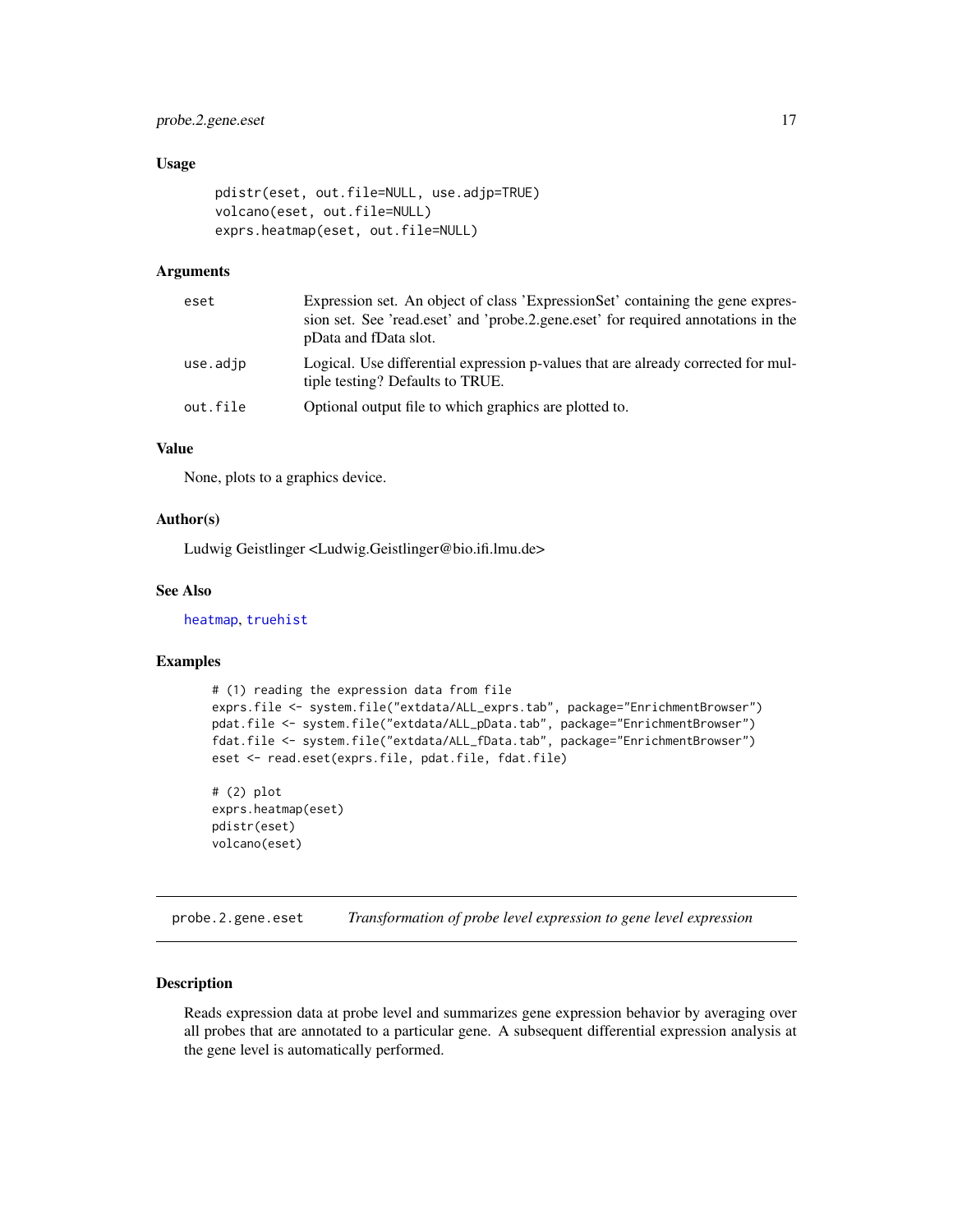# <span id="page-16-0"></span>probe.2.gene.eset 17

#### Usage

```
pdistr(eset, out.file=NULL, use.adjp=TRUE)
volcano(eset, out.file=NULL)
exprs.heatmap(eset, out.file=NULL)
```
#### Arguments

| eset     | Expression set. An object of class 'ExpressionSet' containing the gene expres-<br>sion set. See 'read.eset' and 'probe.2.gene.eset' for required annotations in the<br>pData and fData slot. |
|----------|----------------------------------------------------------------------------------------------------------------------------------------------------------------------------------------------|
| use.adjp | Logical. Use differential expression p-values that are already corrected for mul-<br>tiple testing? Defaults to TRUE.                                                                        |
| out.file | Optional output file to which graphics are plotted to.                                                                                                                                       |

# Value

None, plots to a graphics device.

#### Author(s)

Ludwig Geistlinger <Ludwig.Geistlinger@bio.ifi.lmu.de>

#### See Also

[heatmap](#page-0-0), [truehist](#page-0-0)

#### Examples

```
# (1) reading the expression data from file
exprs.file <- system.file("extdata/ALL_exprs.tab", package="EnrichmentBrowser")
pdat.file <- system.file("extdata/ALL_pData.tab", package="EnrichmentBrowser")
fdat.file <- system.file("extdata/ALL_fData.tab", package="EnrichmentBrowser")
eset <- read.eset(exprs.file, pdat.file, fdat.file)
```
# (2) plot exprs.heatmap(eset) pdistr(eset) volcano(eset)

<span id="page-16-1"></span>probe.2.gene.eset *Transformation of probe level expression to gene level expression*

# **Description**

Reads expression data at probe level and summarizes gene expression behavior by averaging over all probes that are annotated to a particular gene. A subsequent differential expression analysis at the gene level is automatically performed.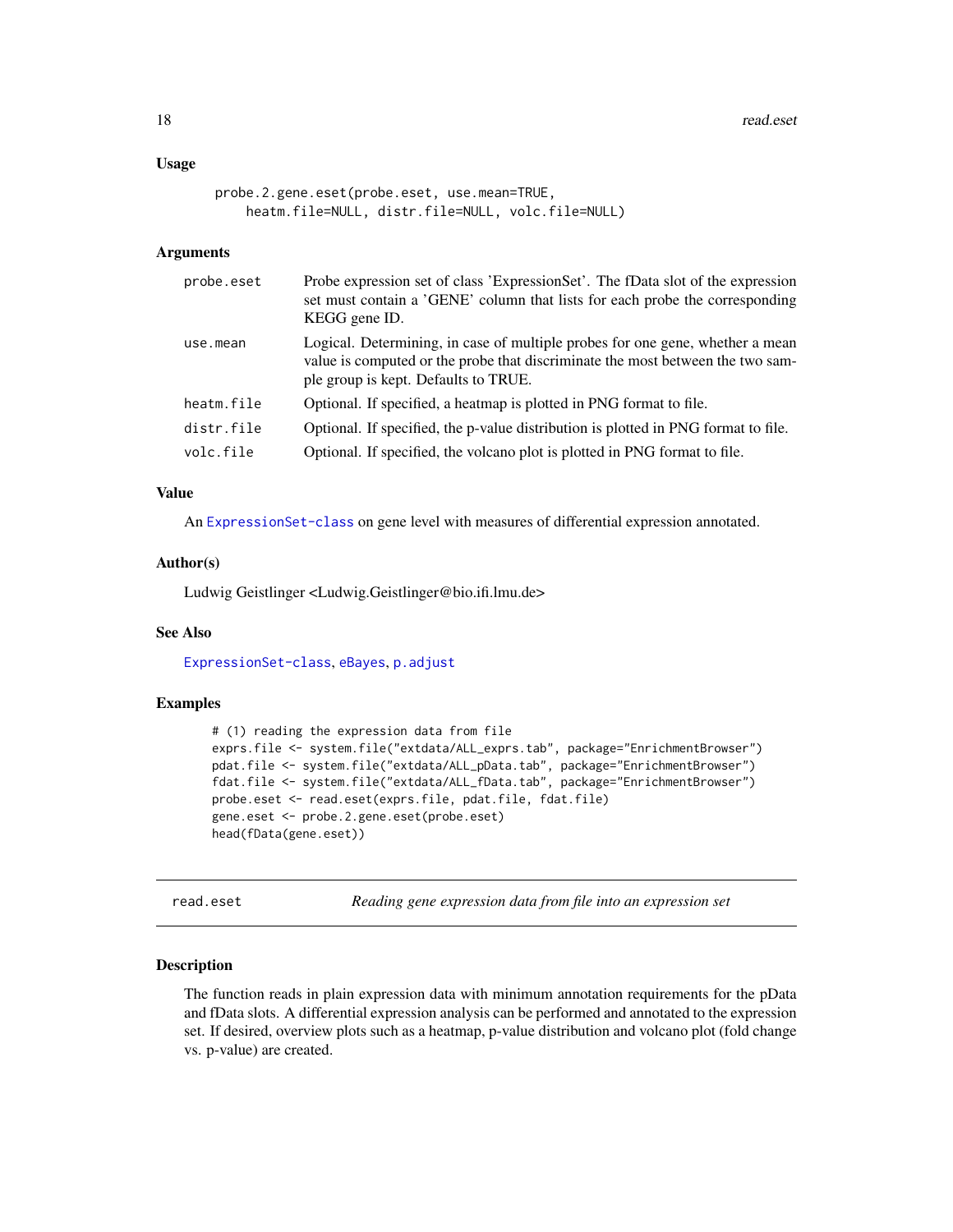#### <span id="page-17-0"></span>Usage

```
probe.2.gene.eset(probe.eset, use.mean=TRUE,
   heatm.file=NULL, distr.file=NULL, volc.file=NULL)
```
#### **Arguments**

| probe.eset | Probe expression set of class 'ExpressionSet'. The fData slot of the expression<br>set must contain a 'GENE' column that lists for each probe the corresponding<br>KEGG gene ID.                        |
|------------|---------------------------------------------------------------------------------------------------------------------------------------------------------------------------------------------------------|
| use.mean   | Logical. Determining, in case of multiple probes for one gene, whether a mean<br>value is computed or the probe that discriminate the most between the two sam-<br>ple group is kept. Defaults to TRUE. |
| heatm.file | Optional. If specified, a heatmap is plotted in PNG format to file.                                                                                                                                     |
| distr.file | Optional. If specified, the p-value distribution is plotted in PNG format to file.                                                                                                                      |
| volc.file  | Optional. If specified, the volcano plot is plotted in PNG format to file.                                                                                                                              |

#### Value

An [ExpressionSet-class](#page-0-0) on gene level with measures of differential expression annotated.

# Author(s)

Ludwig Geistlinger <Ludwig.Geistlinger@bio.ifi.lmu.de>

# See Also

[ExpressionSet-class](#page-0-0), [eBayes](#page-0-0), [p.adjust](#page-0-0)

# Examples

```
# (1) reading the expression data from file
exprs.file <- system.file("extdata/ALL_exprs.tab", package="EnrichmentBrowser")
pdat.file <- system.file("extdata/ALL_pData.tab", package="EnrichmentBrowser")
fdat.file <- system.file("extdata/ALL_fData.tab", package="EnrichmentBrowser")
probe.eset <- read.eset(exprs.file, pdat.file, fdat.file)
gene.eset <- probe.2.gene.eset(probe.eset)
head(fData(gene.eset))
```
<span id="page-17-1"></span>read.eset *Reading gene expression data from file into an expression set*

#### Description

The function reads in plain expression data with minimum annotation requirements for the pData and fData slots. A differential expression analysis can be performed and annotated to the expression set. If desired, overview plots such as a heatmap, p-value distribution and volcano plot (fold change vs. p-value) are created.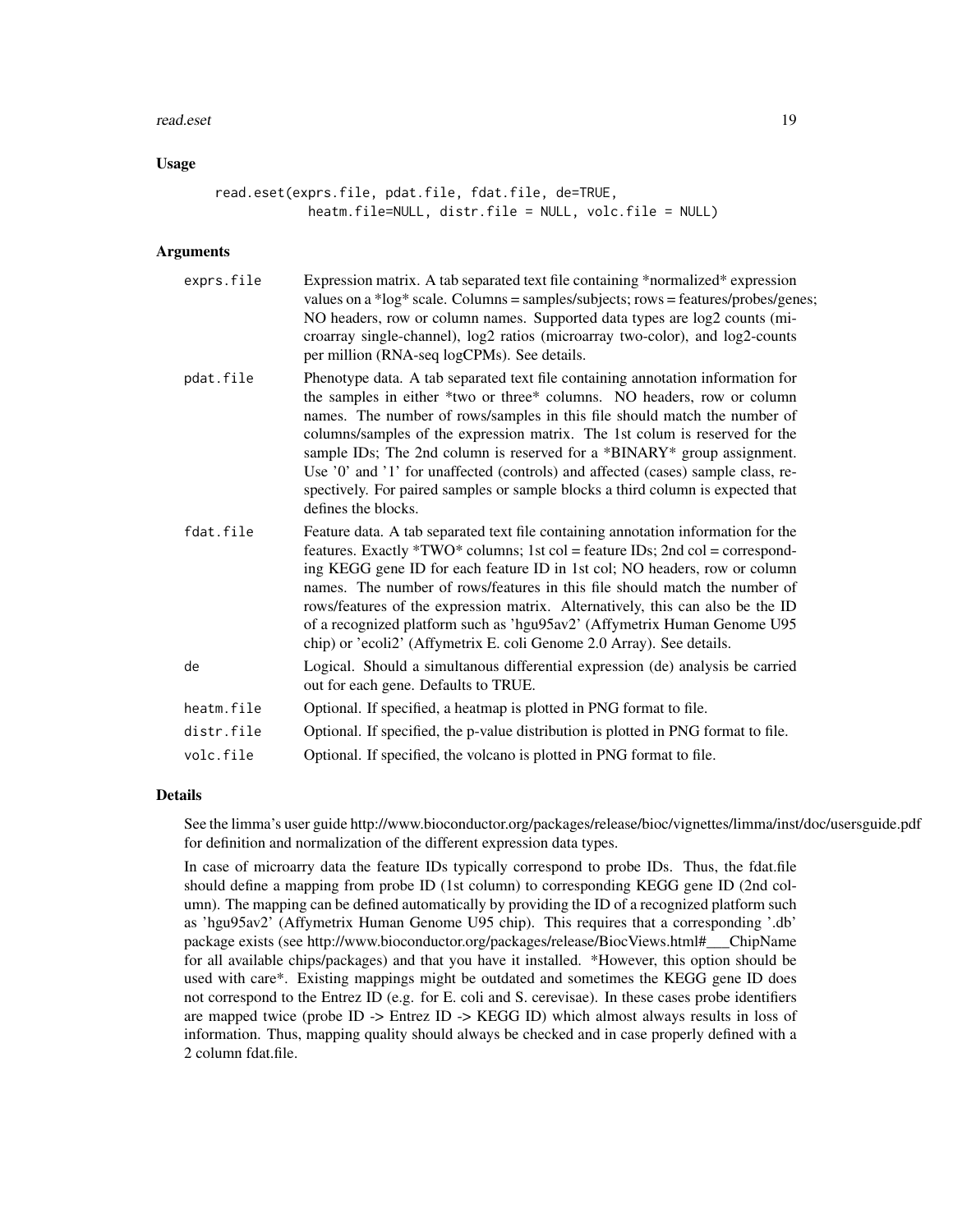#### read.eset the contract of the contract of the contract of the contract of the contract of the contract of the contract of the contract of the contract of the contract of the contract of the contract of the contract of the

#### Usage

read.eset(exprs.file, pdat.file, fdat.file, de=TRUE, heatm.file=NULL, distr.file = NULL, volc.file = NULL)

#### Arguments

| exprs.file | Expression matrix. A tab separated text file containing *normalized* expression<br>values on a *log* scale. Columns = samples/subjects; rows = features/probes/genes;<br>NO headers, row or column names. Supported data types are log2 counts (mi-<br>croarray single-channel), log2 ratios (microarray two-color), and log2-counts<br>per million (RNA-seq logCPMs). See details.                                                                                                                                                                                                             |
|------------|-------------------------------------------------------------------------------------------------------------------------------------------------------------------------------------------------------------------------------------------------------------------------------------------------------------------------------------------------------------------------------------------------------------------------------------------------------------------------------------------------------------------------------------------------------------------------------------------------|
| pdat.file  | Phenotype data. A tab separated text file containing annotation information for<br>the samples in either *two or three* columns. NO headers, row or column<br>names. The number of rows/samples in this file should match the number of<br>columns/samples of the expression matrix. The 1st colum is reserved for the<br>sample IDs; The 2nd column is reserved for a *BINARY* group assignment.<br>Use '0' and '1' for unaffected (controls) and affected (cases) sample class, re-<br>spectively. For paired samples or sample blocks a third column is expected that<br>defines the blocks. |
| fdat.file  | Feature data. A tab separated text file containing annotation information for the<br>features. Exactly *TWO* columns; 1st col = feature IDs; 2nd col = correspond-<br>ing KEGG gene ID for each feature ID in 1st col; NO headers, row or column<br>names. The number of rows/features in this file should match the number of<br>rows/features of the expression matrix. Alternatively, this can also be the ID<br>of a recognized platform such as 'hgu95av2' (Affymetrix Human Genome U95<br>chip) or 'ecoli2' (Affymetrix E. coli Genome 2.0 Array). See details.                           |
| de         | Logical. Should a simultanous differential expression (de) analysis be carried<br>out for each gene. Defaults to TRUE.                                                                                                                                                                                                                                                                                                                                                                                                                                                                          |
| heatm.file | Optional. If specified, a heatmap is plotted in PNG format to file.                                                                                                                                                                                                                                                                                                                                                                                                                                                                                                                             |
| distr.file | Optional. If specified, the p-value distribution is plotted in PNG format to file.                                                                                                                                                                                                                                                                                                                                                                                                                                                                                                              |
| volc.file  | Optional. If specified, the volcano is plotted in PNG format to file.                                                                                                                                                                                                                                                                                                                                                                                                                                                                                                                           |

#### Details

See the limma's user guide http://www.bioconductor.org/packages/release/bioc/vignettes/limma/inst/doc/usersguide.pdf for definition and normalization of the different expression data types.

In case of microarry data the feature IDs typically correspond to probe IDs. Thus, the fdat.file should define a mapping from probe ID (1st column) to corresponding KEGG gene ID (2nd column). The mapping can be defined automatically by providing the ID of a recognized platform such as 'hgu95av2' (Affymetrix Human Genome U95 chip). This requires that a corresponding '.db' package exists (see http://www.bioconductor.org/packages/release/BiocViews.html#\_\_\_ChipName for all available chips/packages) and that you have it installed. \*However, this option should be used with care\*. Existing mappings might be outdated and sometimes the KEGG gene ID does not correspond to the Entrez ID (e.g. for E. coli and S. cerevisae). In these cases probe identifiers are mapped twice (probe ID -> Entrez ID -> KEGG ID) which almost always results in loss of information. Thus, mapping quality should always be checked and in case properly defined with a 2 column fdat.file.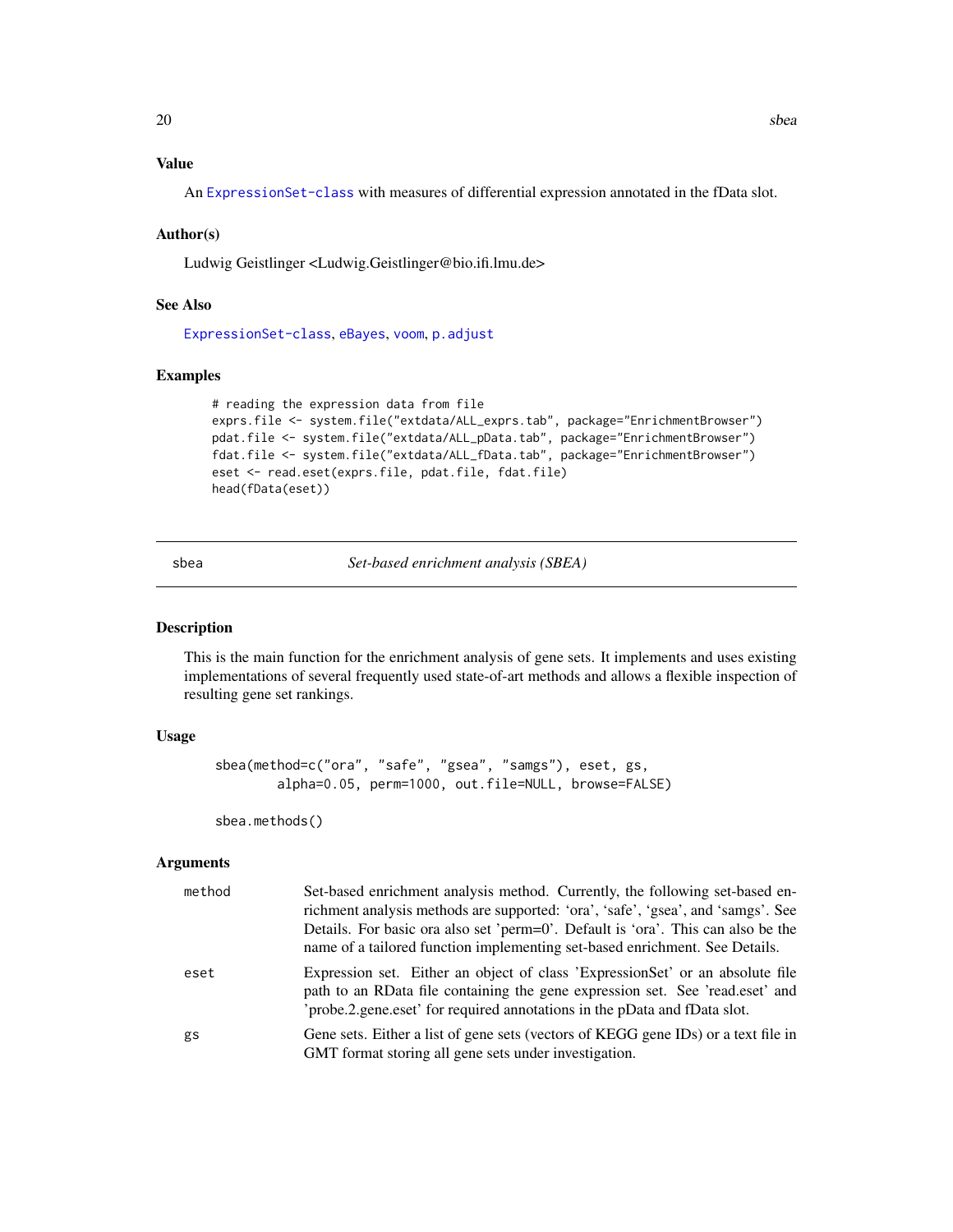# <span id="page-19-0"></span>Value

An [ExpressionSet-class](#page-0-0) with measures of differential expression annotated in the fData slot.

#### Author(s)

Ludwig Geistlinger <Ludwig.Geistlinger@bio.ifi.lmu.de>

# See Also

[ExpressionSet-class](#page-0-0), [eBayes](#page-0-0), [voom](#page-0-0), [p.adjust](#page-0-0)

#### Examples

```
# reading the expression data from file
exprs.file <- system.file("extdata/ALL_exprs.tab", package="EnrichmentBrowser")
pdat.file <- system.file("extdata/ALL_pData.tab", package="EnrichmentBrowser")
fdat.file <- system.file("extdata/ALL_fData.tab", package="EnrichmentBrowser")
eset <- read.eset(exprs.file, pdat.file, fdat.file)
head(fData(eset))
```
<span id="page-19-1"></span>sbea *Set-based enrichment analysis (SBEA)*

#### Description

This is the main function for the enrichment analysis of gene sets. It implements and uses existing implementations of several frequently used state-of-art methods and allows a flexible inspection of resulting gene set rankings.

# Usage

```
sbea(method=c("ora", "safe", "gsea", "samgs"), eset, gs,
        alpha=0.05, perm=1000, out.file=NULL, browse=FALSE)
```
sbea.methods()

# Arguments

| method | Set-based enrichment analysis method. Currently, the following set-based en-<br>richment analysis methods are supported: 'ora', 'safe', 'gsea', and 'samgs'. See<br>Details. For basic ora also set 'perm=0'. Default is 'ora'. This can also be the<br>name of a tailored function implementing set-based enrichment. See Details. |
|--------|-------------------------------------------------------------------------------------------------------------------------------------------------------------------------------------------------------------------------------------------------------------------------------------------------------------------------------------|
| eset   | Expression set. Either an object of class 'Expression Set' or an absolute file<br>path to an RData file containing the gene expression set. See 'read.eset' and<br>'probe.2.gene.eset' for required annotations in the pData and fData slot.                                                                                        |
| gs     | Gene sets. Either a list of gene sets (vectors of KEGG gene IDs) or a text file in<br>GMT format storing all gene sets under investigation.                                                                                                                                                                                         |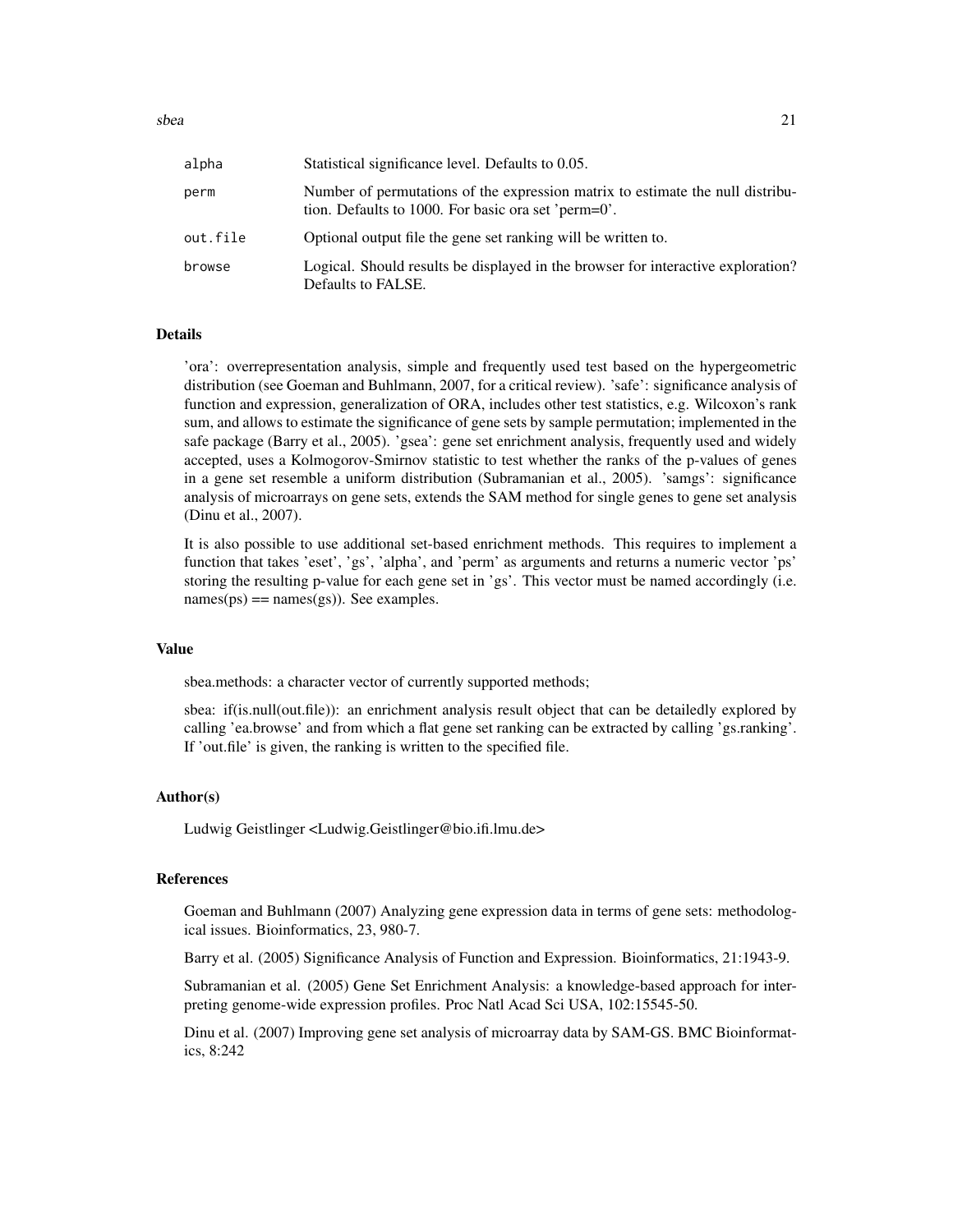sbea 21 and 22 and 22 and 22 and 22 and 23 and 23 and 23 and 23 and 23 and 24 and 25 and 26 and 26 and 27 and 27

| alpha    | Statistical significance level. Defaults to 0.05.                                                                                     |
|----------|---------------------------------------------------------------------------------------------------------------------------------------|
| perm     | Number of permutations of the expression matrix to estimate the null distribu-<br>tion. Defaults to 1000. For basic ora set 'perm=0'. |
| out.file | Optional output file the gene set ranking will be written to.                                                                         |
| browse   | Logical. Should results be displayed in the browser for interactive exploration?<br>Defaults to FALSE.                                |

#### Details

'ora': overrepresentation analysis, simple and frequently used test based on the hypergeometric distribution (see Goeman and Buhlmann, 2007, for a critical review). 'safe': significance analysis of function and expression, generalization of ORA, includes other test statistics, e.g. Wilcoxon's rank sum, and allows to estimate the significance of gene sets by sample permutation; implemented in the safe package (Barry et al., 2005). 'gsea': gene set enrichment analysis, frequently used and widely accepted, uses a Kolmogorov-Smirnov statistic to test whether the ranks of the p-values of genes in a gene set resemble a uniform distribution (Subramanian et al., 2005). 'samgs': significance analysis of microarrays on gene sets, extends the SAM method for single genes to gene set analysis (Dinu et al., 2007).

It is also possible to use additional set-based enrichment methods. This requires to implement a function that takes 'eset', 'gs', 'alpha', and 'perm' as arguments and returns a numeric vector 'ps' storing the resulting p-value for each gene set in 'gs'. This vector must be named accordingly (i.e.  $names(ps) == names(gs)$ . See examples.

# Value

sbea.methods: a character vector of currently supported methods;

sbea: if(is.null(out.file)): an enrichment analysis result object that can be detailedly explored by calling 'ea.browse' and from which a flat gene set ranking can be extracted by calling 'gs.ranking'. If 'out.file' is given, the ranking is written to the specified file.

#### Author(s)

Ludwig Geistlinger <Ludwig.Geistlinger@bio.ifi.lmu.de>

#### References

Goeman and Buhlmann (2007) Analyzing gene expression data in terms of gene sets: methodological issues. Bioinformatics, 23, 980-7.

Barry et al. (2005) Significance Analysis of Function and Expression. Bioinformatics, 21:1943-9.

Subramanian et al. (2005) Gene Set Enrichment Analysis: a knowledge-based approach for interpreting genome-wide expression profiles. Proc Natl Acad Sci USA, 102:15545-50.

Dinu et al. (2007) Improving gene set analysis of microarray data by SAM-GS. BMC Bioinformatics, 8:242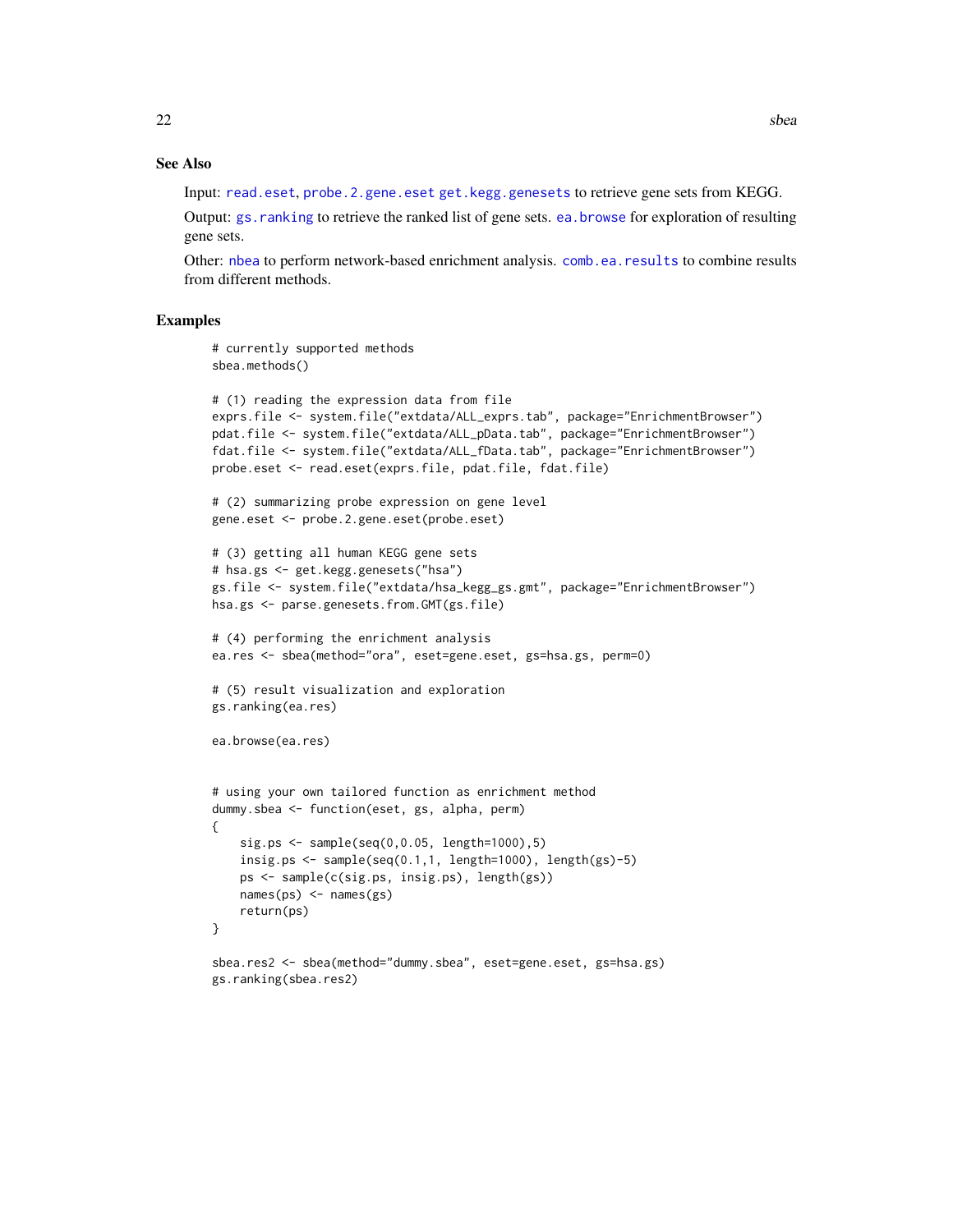#### See Also

Input: [read.eset](#page-17-1), [probe.2.gene.eset](#page-16-1) [get.kegg.genesets](#page-9-1) to retrieve gene sets from KEGG.

Output: [gs.ranking](#page-6-2) to retrieve the ranked list of gene sets. [ea.browse](#page-6-1) for exploration of resulting gene sets.

Other: [nbea](#page-12-1) to perform network-based enrichment analysis. [comb.ea.results](#page-1-1) to combine results from different methods.

```
# currently supported methods
sbea.methods()
```

```
# (1) reading the expression data from file
exprs.file <- system.file("extdata/ALL_exprs.tab", package="EnrichmentBrowser")
pdat.file <- system.file("extdata/ALL_pData.tab", package="EnrichmentBrowser")
fdat.file <- system.file("extdata/ALL_fData.tab", package="EnrichmentBrowser")
probe.eset <- read.eset(exprs.file, pdat.file, fdat.file)
```

```
# (2) summarizing probe expression on gene level
gene.eset <- probe.2.gene.eset(probe.eset)
```

```
# (3) getting all human KEGG gene sets
# hsa.gs <- get.kegg.genesets("hsa")
gs.file <- system.file("extdata/hsa_kegg_gs.gmt", package="EnrichmentBrowser")
hsa.gs <- parse.genesets.from.GMT(gs.file)
```

```
# (4) performing the enrichment analysis
ea.res <- sbea(method="ora", eset=gene.eset, gs=hsa.gs, perm=0)
```

```
# (5) result visualization and exploration
gs.ranking(ea.res)
```

```
ea.browse(ea.res)
```

```
# using your own tailored function as enrichment method
dummy.sbea <- function(eset, gs, alpha, perm)
{
   sig.ps <- sample(seq(0,0.05, length=1000),5)
   insig.ps <- sample(seq(0.1,1, length=1000), length(gs)-5)
   ps <- sample(c(sig.ps, insig.ps), length(gs))
   names(ps) <- names(gs)
   return(ps)
}
```

```
sbea.res2 <- sbea(method="dummy.sbea", eset=gene.eset, gs=hsa.gs)
gs.ranking(sbea.res2)
```